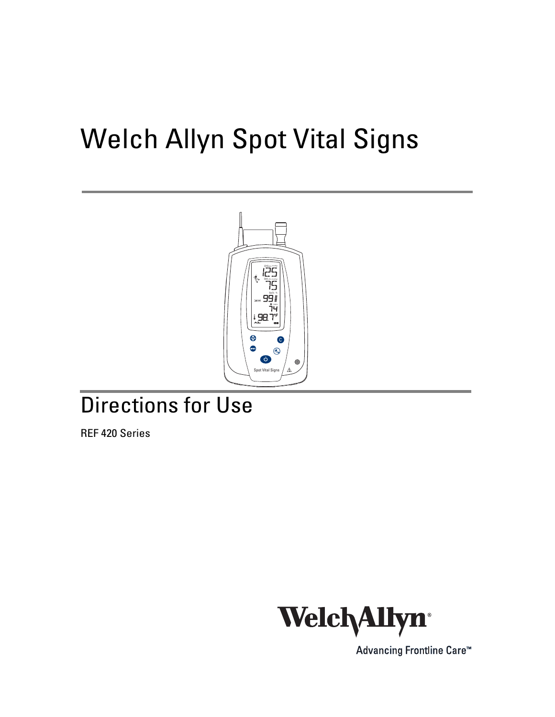# Welch Allyn Spot Vital Signs



# Directions for Use

REF 420 Series



Advancing Frontline Care<sup>™</sup>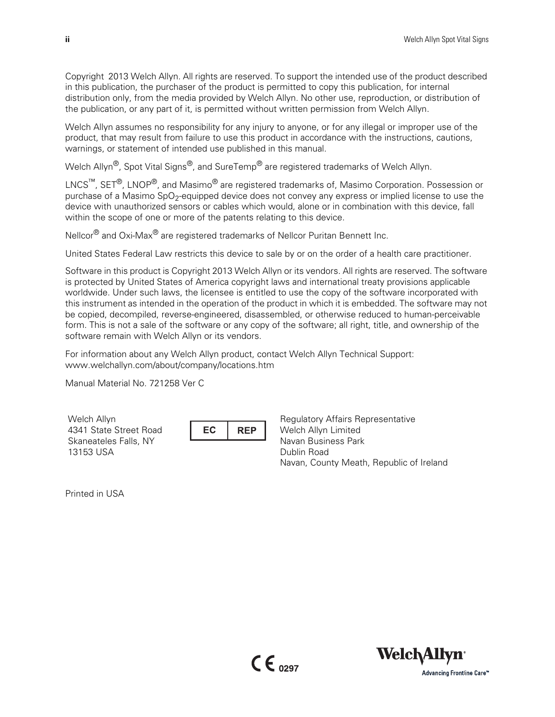Copyright 2013 Welch Allyn. All rights are reserved. To support the intended use of the product described in this publication, the purchaser of the product is permitted to copy this publication, for internal distribution only, from the media provided by Welch Allyn. No other use, reproduction, or distribution of the publication, or any part of it, is permitted without written permission from Welch Allyn.

Welch Allyn assumes no responsibility for any injury to anyone, or for any illegal or improper use of the product, that may result from failure to use this product in accordance with the instructions, cautions, warnings, or statement of intended use published in this manual.

Welch Allyn<sup>®</sup>, Spot Vital Signs<sup>®</sup>, and SureTemp<sup>®</sup> are registered trademarks of Welch Allyn.

LNCS™, SET®, LNOP®, and Masimo® are registered trademarks of, Masimo Corporation. Possession or purchase of a Masimo SpO<sub>2</sub>-equipped device does not convey any express or implied license to use the device with unauthorized sensors or cables which would, alone or in combination with this device, fall within the scope of one or more of the patents relating to this device.

Nellcor<sup>®</sup> and Oxi-Max<sup>®</sup> are registered trademarks of Nellcor Puritan Bennett Inc.

United States Federal Law restricts this device to sale by or on the order of a health care practitioner.

Software in this product is Copyright 2013 Welch Allyn or its vendors. All rights are reserved. The software is protected by United States of America copyright laws and international treaty provisions applicable worldwide. Under such laws, the licensee is entitled to use the copy of the software incorporated with this instrument as intended in the operation of the product in which it is embedded. The software may not be copied, decompiled, reverse-engineered, disassembled, or otherwise reduced to human-perceivable form. This is not a sale of the software or any copy of the software; all right, title, and ownership of the software remain with Welch Allyn or its vendors.

[For information about any Welch Allyn product, contact Welch Allyn Technical Support:](http://www.welchallyn.com/about/company/locations.htm) www.welchallyn.com/about/company/locations.htm

Manual Material No. 721258 Ver C

Welch Allyn 4341 State Street Road EC **REP** Skaneateles Falls, NY 13153 USA

Regulatory Affairs Representative Welch Allyn Limited Navan Business Park Dublin Road Navan, County Meath, Republic of Ireland

Printed in USA

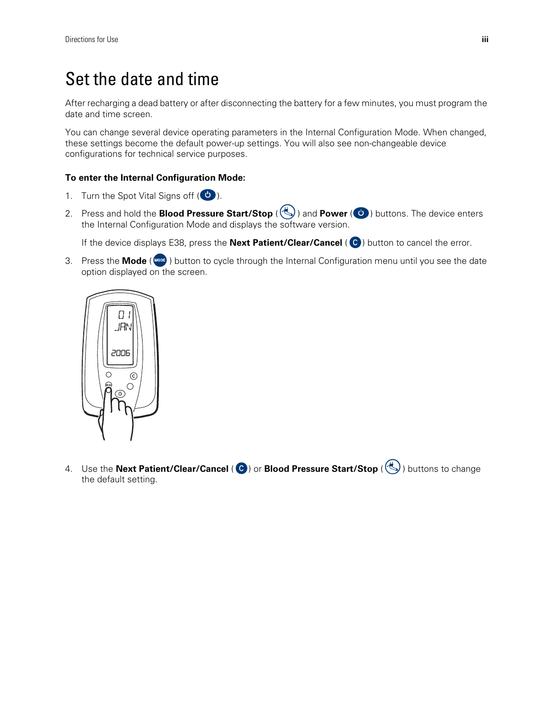# <span id="page-2-0"></span>Set the date and time

After recharging a dead battery or after disconnecting the battery for a few minutes, you must program the date and time screen.

You can change several device operating parameters in the Internal Configuration Mode. When changed, these settings become the default power-up settings. You will also see non-changeable device configurations for technical service purposes.

#### **To enter the Internal Configuration Mode:**

- 1. Turn the Spot Vital Signs off  $(\bigcirc$ .
- 2. Press and hold the **Blood Pressure Start/Stop** ( $\langle \rangle$ ) and **Power** ( $\langle \cdot \rangle$ ) buttons. The device enters the Internal Configuration Mode and displays the software version.

If the device displays E38, press the **Next Patient/Clear/Cancel** (C) button to cancel the error.

3. Press the **Mode** (MODE) button to cycle through the Internal Configuration menu until you see the date option displayed on the screen.



4. Use the **Next Patient/Clear/Cancel** (  $\bullet$  ) or **Blood Pressure Start/Stop** (  $\bullet$  ) buttons to change the default setting.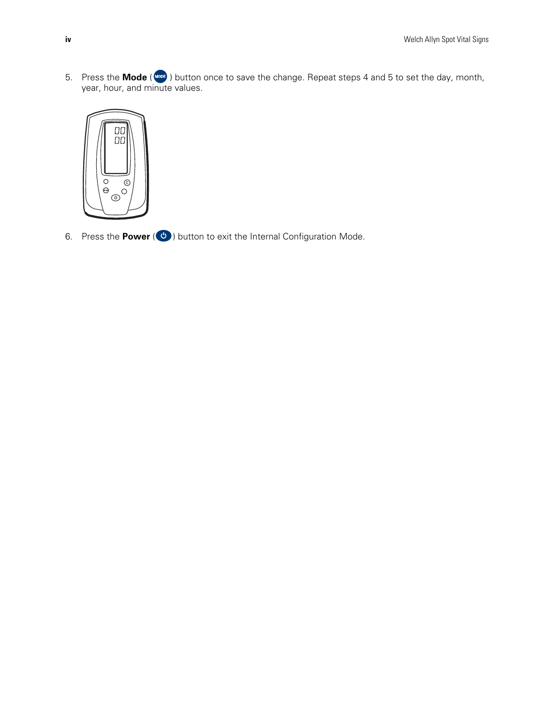5. Press the **Mode** (Nobe) button once to save the change. Repeat steps 4 and 5 to set the day, month, year, hour, and minute values.



6. Press the **Power** ( $\bullet$ ) button to exit the Internal Configuration Mode.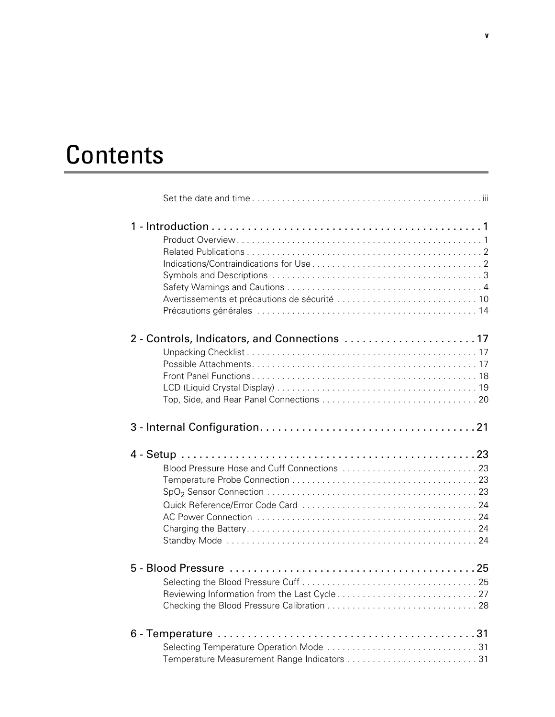# **Contents**

| 2 - Controls, Indicators, and Connections  17 |
|-----------------------------------------------|
|                                               |
|                                               |
|                                               |
|                                               |
|                                               |
|                                               |
|                                               |
|                                               |
|                                               |
|                                               |
|                                               |
|                                               |
|                                               |
|                                               |
|                                               |
|                                               |
|                                               |
|                                               |
|                                               |
|                                               |
|                                               |
|                                               |
|                                               |
| Temperature Measurement Range Indicators 31   |
|                                               |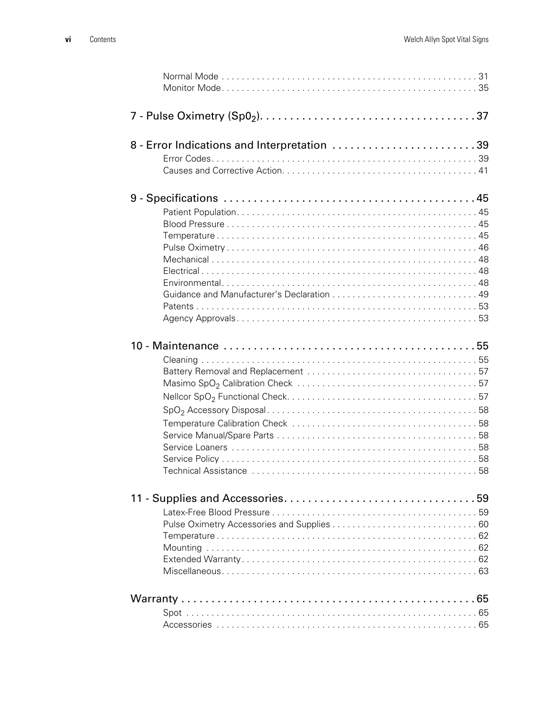| 8 - Error Indications and Interpretation 39 |
|---------------------------------------------|
|                                             |
|                                             |
|                                             |
|                                             |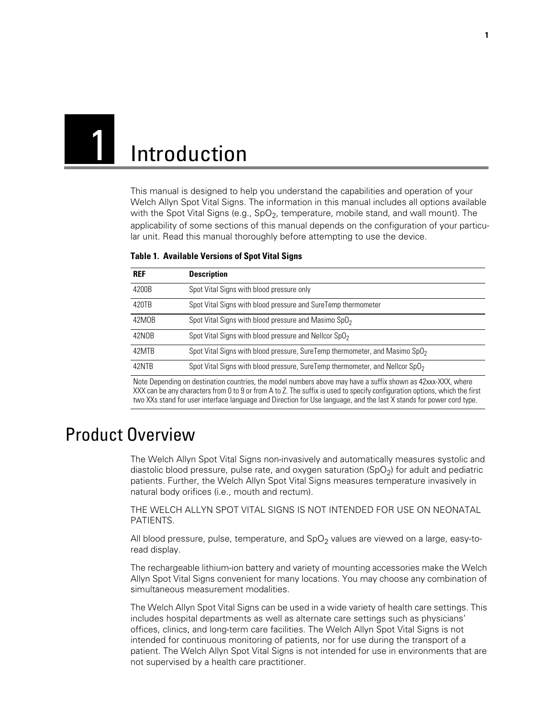# <span id="page-6-0"></span>Introduction

This manual is designed to help you understand the capabilities and operation of your Welch Allyn Spot Vital Signs. The information in this manual includes all options available with the Spot Vital Signs (e.g.,  $SpO<sub>2</sub>$ , temperature, mobile stand, and wall mount). The applicability of some sections of this manual depends on the configuration of your particular unit. Read this manual thoroughly before attempting to use the device.

| <b>REF</b> | <b>Description</b>                                                             |
|------------|--------------------------------------------------------------------------------|
| 4200B      | Spot Vital Signs with blood pressure only                                      |
| 420TB      | Spot Vital Signs with blood pressure and SureTemp thermometer                  |
| 42MOB      | Spot Vital Signs with blood pressure and Masimo SpO <sub>2</sub>               |
| 42NOB      | Spot Vital Signs with blood pressure and Nellcor SpO <sub>2</sub>              |
| 42MTB      | Spot Vital Signs with blood pressure, SureTemp thermometer, and Masimo $SpO2$  |
| 42NTB      | Spot Vital Signs with blood pressure, SureTemp thermometer, and Nellcor $SpO2$ |
|            |                                                                                |

**Table 1. Available Versions of Spot Vital Signs**

Note Depending on destination countries, the model numbers above may have a suffix shown as 42xxx-XXX, where XXX can be any characters from 0 to 9 or from A to Z. The suffix is used to specify configuration options, which the first two XXs stand for user interface language and Direction for Use language, and the last X stands for power cord type.

# <span id="page-6-1"></span>Product Overview

The Welch Allyn Spot Vital Signs non-invasively and automatically measures systolic and diastolic blood pressure, pulse rate, and oxygen saturation  $(SpO<sub>2</sub>)$  for adult and pediatric patients. Further, the Welch Allyn Spot Vital Signs measures temperature invasively in natural body orifices (i.e., mouth and rectum).

THE WELCH ALLYN SPOT VITAL SIGNS IS NOT INTENDED FOR USE ON NEONATAL PATIENTS.

All blood pressure, pulse, temperature, and  $SpO<sub>2</sub>$  values are viewed on a large, easy-toread display.

The rechargeable lithium-ion battery and variety of mounting accessories make the Welch Allyn Spot Vital Signs convenient for many locations. You may choose any combination of simultaneous measurement modalities.

The Welch Allyn Spot Vital Signs can be used in a wide variety of health care settings. This includes hospital departments as well as alternate care settings such as physicians' offices, clinics, and long-term care facilities. The Welch Allyn Spot Vital Signs is not intended for continuous monitoring of patients, nor for use during the transport of a patient. The Welch Allyn Spot Vital Signs is not intended for use in environments that are not supervised by a health care practitioner.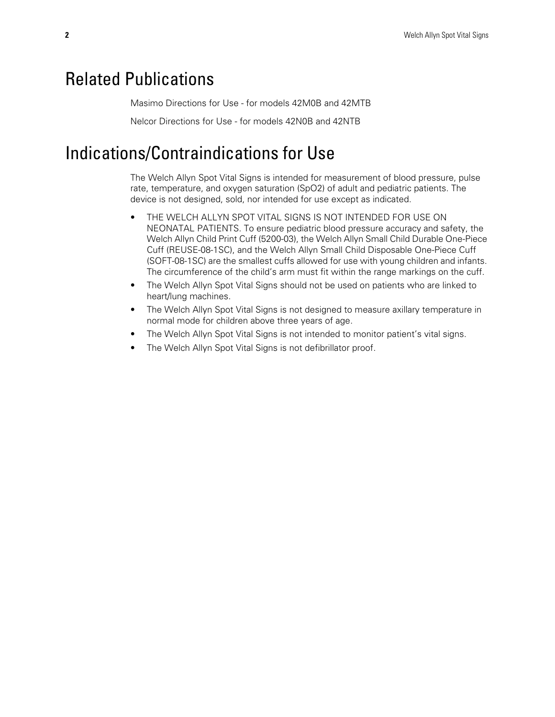# <span id="page-7-0"></span>Related Publications

Masimo Directions for Use - for models 42M0B and 42MTB

Nelcor Directions for Use - for models 42N0B and 42NTB

# <span id="page-7-1"></span>Indications/Contraindications for Use

The Welch Allyn Spot Vital Signs is intended for measurement of blood pressure, pulse rate, temperature, and oxygen saturation (SpO2) of adult and pediatric patients. The device is not designed, sold, nor intended for use except as indicated.

- THE WELCH ALLYN SPOT VITAL SIGNS IS NOT INTENDED FOR USE ON NEONATAL PATIENTS. To ensure pediatric blood pressure accuracy and safety, the Welch Allyn Child Print Cuff (5200-03), the Welch Allyn Small Child Durable One-Piece Cuff (REUSE-08-1SC), and the Welch Allyn Small Child Disposable One-Piece Cuff (SOFT-08-1SC) are the smallest cuffs allowed for use with young children and infants. The circumference of the child's arm must fit within the range markings on the cuff.
- The Welch Allyn Spot Vital Signs should not be used on patients who are linked to heart/lung machines.
- The Welch Allyn Spot Vital Signs is not designed to measure axillary temperature in normal mode for children above three years of age.
- The Welch Allyn Spot Vital Signs is not intended to monitor patient's vital signs.
- The Welch Allyn Spot Vital Signs is not defibrillator proof.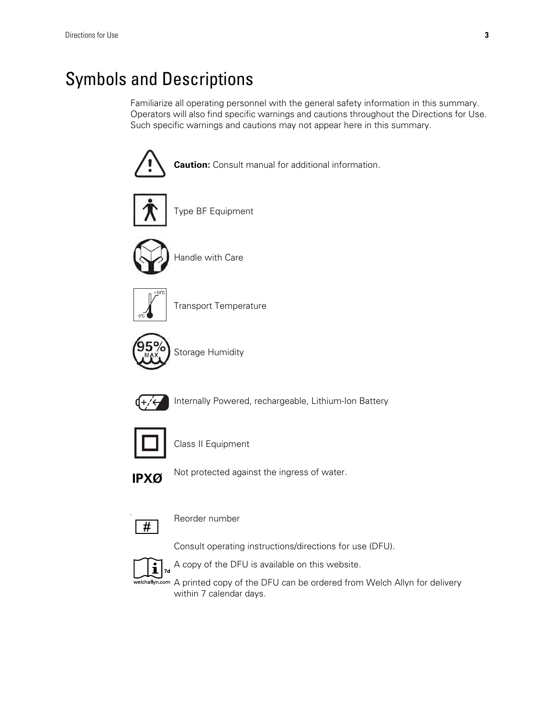# <span id="page-8-0"></span>Symbols and Descriptions

Familiarize all operating personnel with the general safety information in this summary. Operators will also find specific warnings and cautions throughout the Directions for Use. Such specific warnings and cautions may not appear here in this summary.





Internally Powered, rechargeable, Lithium-Ion Battery



Class II Equipment



Not protected against the ingress of water.

Reorder number

Consult operating instructions/directions for use (DFU).



A copy of the DFU is available on this website.

welchallyn.com A printed copy of the DFU can be ordered from Welch Allyn for delivery within 7 calendar days.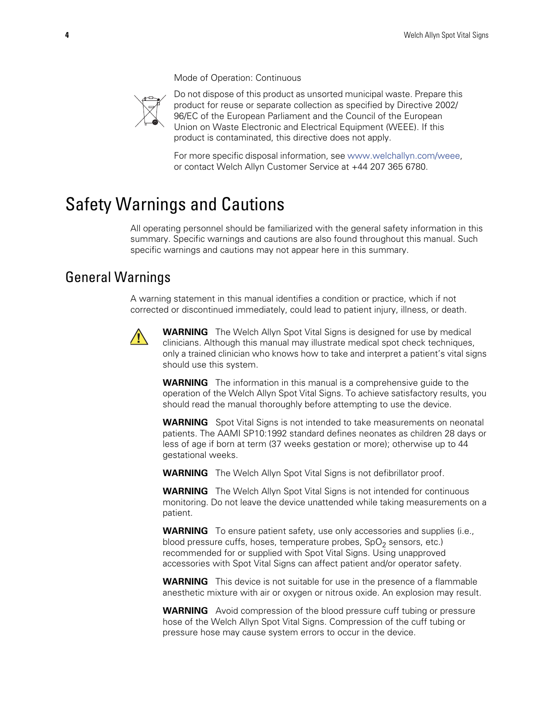Mode of Operation: Continuous



Do not dispose of this product as unsorted municipal waste. Prepare this product for reuse or separate collection as specified by Directive 2002/ 96/EC of the European Parliament and the Council of the European Union on Waste Electronic and Electrical Equipment (WEEE). If this product is contaminated, this directive does not apply.

For more specific disposal information, see www.welchallyn.com/weee, or contact Welch Allyn Customer Service at +44 207 365 6780.

# <span id="page-9-0"></span>Safety Warnings and Cautions

All operating personnel should be familiarized with the general safety information in this summary. Specific warnings and cautions are also found throughout this manual. Such specific warnings and cautions may not appear here in this summary.

### General Warnings

A warning statement in this manual identifies a condition or practice, which if not corrected or discontinued immediately, could lead to patient injury, illness, or death.



**WARNING** The Welch Allyn Spot Vital Signs is designed for use by medical clinicians. Although this manual may illustrate medical spot check techniques, only a trained clinician who knows how to take and interpret a patient's vital signs should use this system.

**WARNING** The information in this manual is a comprehensive guide to the operation of the Welch Allyn Spot Vital Signs. To achieve satisfactory results, you should read the manual thoroughly before attempting to use the device.

**WARNING** Spot Vital Signs is not intended to take measurements on neonatal patients. The AAMI SP10:1992 standard defines neonates as children 28 days or less of age if born at term (37 weeks gestation or more); otherwise up to 44 gestational weeks.

**WARNING** The Welch Allyn Spot Vital Signs is not defibrillator proof.

**WARNING** The Welch Allyn Spot Vital Signs is not intended for continuous monitoring. Do not leave the device unattended while taking measurements on a patient.

**WARNING** To ensure patient safety, use only accessories and supplies (i.e., blood pressure cuffs, hoses, temperature probes,  $SpO<sub>2</sub>$  sensors, etc.) recommended for or supplied with Spot Vital Signs. Using unapproved accessories with Spot Vital Signs can affect patient and/or operator safety.

**WARNING** This device is not suitable for use in the presence of a flammable anesthetic mixture with air or oxygen or nitrous oxide. An explosion may result.

**WARNING** Avoid compression of the blood pressure cuff tubing or pressure hose of the Welch Allyn Spot Vital Signs. Compression of the cuff tubing or pressure hose may cause system errors to occur in the device.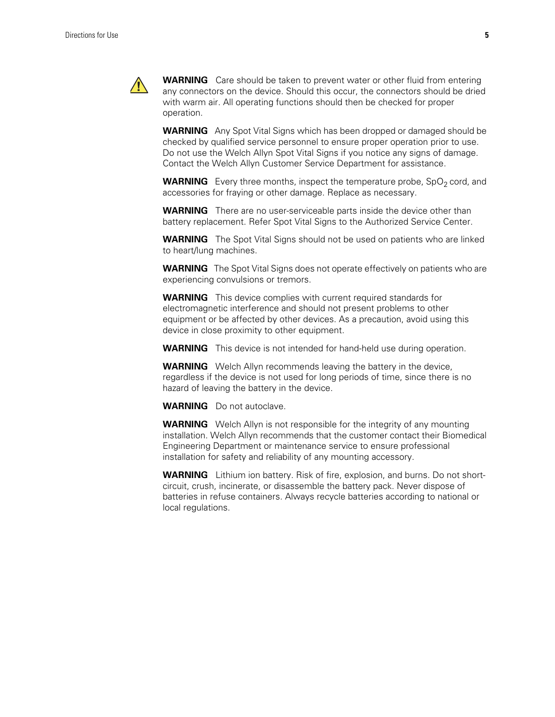

**WARNING** Care should be taken to prevent water or other fluid from entering any connectors on the device. Should this occur, the connectors should be dried with warm air. All operating functions should then be checked for proper operation.

**WARNING** Any Spot Vital Signs which has been dropped or damaged should be checked by qualified service personnel to ensure proper operation prior to use. Do not use the Welch Allyn Spot Vital Signs if you notice any signs of damage. Contact the Welch Allyn Customer Service Department for assistance.

**WARNING** Every three months, inspect the temperature probe,  $SpO<sub>2</sub>$  cord, and accessories for fraying or other damage. Replace as necessary.

**WARNING** There are no user-serviceable parts inside the device other than battery replacement. Refer Spot Vital Signs to the Authorized Service Center.

**WARNING** The Spot Vital Signs should not be used on patients who are linked to heart/lung machines.

**WARNING** The Spot Vital Signs does not operate effectively on patients who are experiencing convulsions or tremors.

**WARNING** This device complies with current required standards for electromagnetic interference and should not present problems to other equipment or be affected by other devices. As a precaution, avoid using this device in close proximity to other equipment.

**WARNING** This device is not intended for hand-held use during operation.

**WARNING** Welch Allyn recommends leaving the battery in the device, regardless if the device is not used for long periods of time, since there is no hazard of leaving the battery in the device.

**WARNING** Do not autoclave.

**WARNING** Welch Allyn is not responsible for the integrity of any mounting installation. Welch Allyn recommends that the customer contact their Biomedical Engineering Department or maintenance service to ensure professional installation for safety and reliability of any mounting accessory.

**WARNING** Lithium ion battery. Risk of fire, explosion, and burns. Do not shortcircuit, crush, incinerate, or disassemble the battery pack. Never dispose of batteries in refuse containers. Always recycle batteries according to national or local regulations.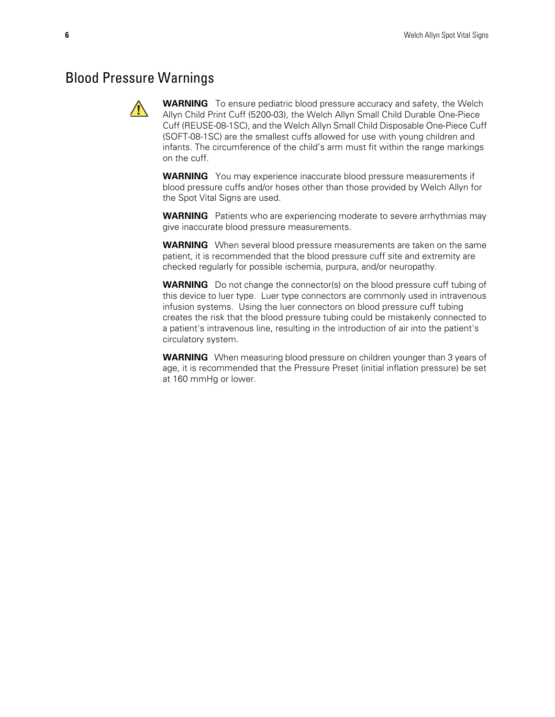### Blood Pressure Warnings



**WARNING** To ensure pediatric blood pressure accuracy and safety, the Welch Allyn Child Print Cuff (5200-03), the Welch Allyn Small Child Durable One-Piece Cuff (REUSE-08-1SC), and the Welch Allyn Small Child Disposable One-Piece Cuff (SOFT-08-1SC) are the smallest cuffs allowed for use with young children and infants. The circumference of the child's arm must fit within the range markings on the cuff.

**WARNING** You may experience inaccurate blood pressure measurements if blood pressure cuffs and/or hoses other than those provided by Welch Allyn for the Spot Vital Signs are used.

**WARNING** Patients who are experiencing moderate to severe arrhythmias may give inaccurate blood pressure measurements.

**WARNING** When several blood pressure measurements are taken on the same patient, it is recommended that the blood pressure cuff site and extremity are checked regularly for possible ischemia, purpura, and/or neuropathy.

**WARNING** Do not change the connector(s) on the blood pressure cuff tubing of this device to luer type. Luer type connectors are commonly used in intravenous infusion systems. Using the luer connectors on blood pressure cuff tubing creates the risk that the blood pressure tubing could be mistakenly connected to a patient's intravenous line, resulting in the introduction of air into the patient's circulatory system.

**WARNING** When measuring blood pressure on children younger than 3 years of age, it is recommended that the Pressure Preset (initial inflation pressure) be set at 160 mmHg or lower.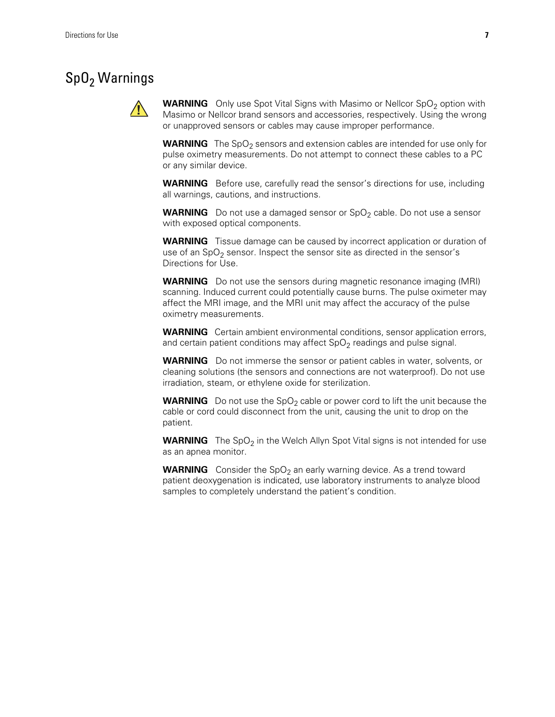# SpO<sub>2</sub> Warnings



**WARNING** Only use Spot Vital Signs with Masimo or Nellcor SpO<sub>2</sub> option with Masimo or Nellcor brand sensors and accessories, respectively. Using the wrong or unapproved sensors or cables may cause improper performance.

**WARNING** The SpO<sub>2</sub> sensors and extension cables are intended for use only for pulse oximetry measurements. Do not attempt to connect these cables to a PC or any similar device.

**WARNING** Before use, carefully read the sensor's directions for use, including all warnings, cautions, and instructions.

**WARNING** Do not use a damaged sensor or SpO<sub>2</sub> cable. Do not use a sensor with exposed optical components.

**WARNING** Tissue damage can be caused by incorrect application or duration of use of an  $SpO<sub>2</sub>$  sensor. Inspect the sensor site as directed in the sensor's Directions for Use.

**WARNING** Do not use the sensors during magnetic resonance imaging (MRI) scanning. Induced current could potentially cause burns. The pulse oximeter may affect the MRI image, and the MRI unit may affect the accuracy of the pulse oximetry measurements.

**WARNING** Certain ambient environmental conditions, sensor application errors, and certain patient conditions may affect  $SpO<sub>2</sub>$  readings and pulse signal.

**WARNING** Do not immerse the sensor or patient cables in water, solvents, or cleaning solutions (the sensors and connections are not waterproof). Do not use irradiation, steam, or ethylene oxide for sterilization.

**WARNING** Do not use the SpO<sub>2</sub> cable or power cord to lift the unit because the cable or cord could disconnect from the unit, causing the unit to drop on the patient.

**WARNING** The SpO<sub>2</sub> in the Welch Allyn Spot Vital signs is not intended for use as an apnea monitor.

**WARNING** Consider the SpO<sub>2</sub> an early warning device. As a trend toward patient deoxygenation is indicated, use laboratory instruments to analyze blood samples to completely understand the patient's condition.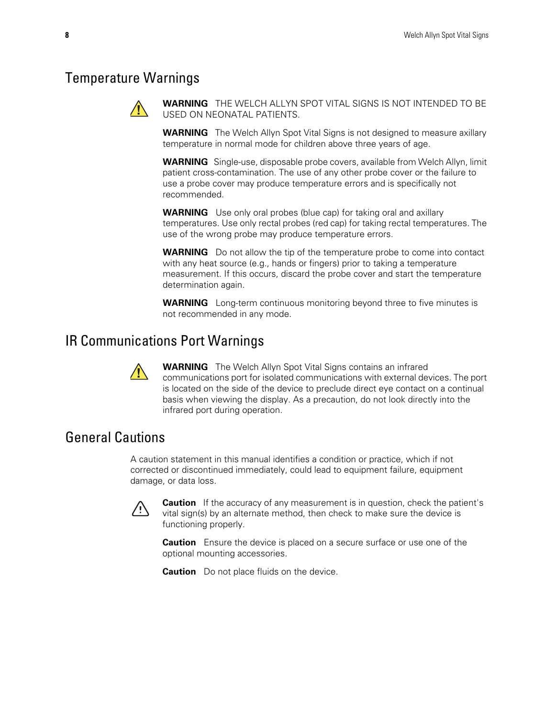### Temperature Warnings



**WARNING** THE WELCH ALLYN SPOT VITAL SIGNS IS NOT INTENDED TO BE USED ON NEONATAL PATIENTS.

**WARNING** The Welch Allyn Spot Vital Signs is not designed to measure axillary temperature in normal mode for children above three years of age.

**WARNING** Single-use, disposable probe covers, available from Welch Allyn, limit patient cross-contamination. The use of any other probe cover or the failure to use a probe cover may produce temperature errors and is specifically not recommended.

**WARNING** Use only oral probes (blue cap) for taking oral and axillary temperatures. Use only rectal probes (red cap) for taking rectal temperatures. The use of the wrong probe may produce temperature errors.

**WARNING** Do not allow the tip of the temperature probe to come into contact with any heat source (e.g., hands or fingers) prior to taking a temperature measurement. If this occurs, discard the probe cover and start the temperature determination again.

**WARNING** Long-term continuous monitoring beyond three to five minutes is not recommended in any mode.

# IR Communications Port Warnings



**WARNING** The Welch Allyn Spot Vital Signs contains an infrared communications port for isolated communications with external devices. The port is located on the side of the device to preclude direct eye contact on a continual basis when viewing the display. As a precaution, do not look directly into the infrared port during operation.

# General Cautions

A caution statement in this manual identifies a condition or practice, which if not corrected or discontinued immediately, could lead to equipment failure, equipment damage, or data loss.



**Caution** If the accuracy of any measurement is in question, check the patient's vital sign(s) by an alternate method, then check to make sure the device is functioning properly.

**Caution** Ensure the device is placed on a secure surface or use one of the optional mounting accessories.

**Caution** Do not place fluids on the device.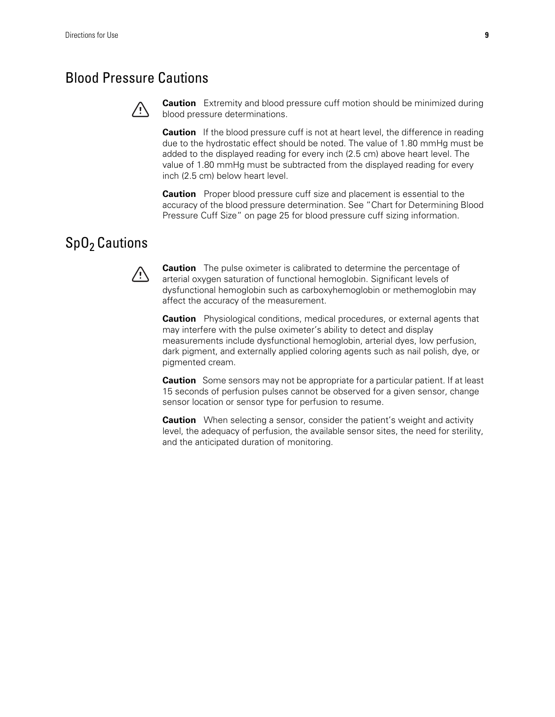# Blood Pressure Cautions



**Caution** Extremity and blood pressure cuff motion should be minimized during blood pressure determinations.

**Caution** If the blood pressure cuff is not at heart level, the difference in reading due to the hydrostatic effect should be noted. The value of 1.80 mmHg must be added to the displayed reading for every inch (2.5 cm) above heart level. The value of 1.80 mmHg must be subtracted from the displayed reading for every inch (2.5 cm) below heart level.

**Caution** Proper blood pressure cuff size and placement is essential to the accuracy of the blood pressure determination. See ["Chart for Determining Blood](#page-30-2) [Pressure Cuff Size" on page 25](#page-30-2) for blood pressure cuff sizing information.

# SpO<sub>2</sub> Cautions



**Caution** The pulse oximeter is calibrated to determine the percentage of arterial oxygen saturation of functional hemoglobin. Significant levels of dysfunctional hemoglobin such as carboxyhemoglobin or methemoglobin may affect the accuracy of the measurement.

**Caution** Physiological conditions, medical procedures, or external agents that may interfere with the pulse oximeter's ability to detect and display measurements include dysfunctional hemoglobin, arterial dyes, low perfusion, dark pigment, and externally applied coloring agents such as nail polish, dye, or pigmented cream.

**Caution** Some sensors may not be appropriate for a particular patient. If at least 15 seconds of perfusion pulses cannot be observed for a given sensor, change sensor location or sensor type for perfusion to resume.

**Caution** When selecting a sensor, consider the patient's weight and activity level, the adequacy of perfusion, the available sensor sites, the need for sterility, and the anticipated duration of monitoring.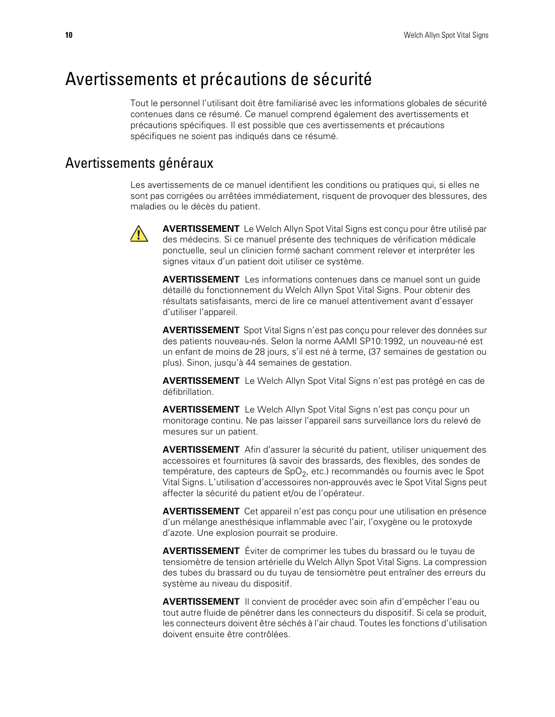# <span id="page-15-0"></span>Avertissements et précautions de sécurité

Tout le personnel l'utilisant doit être familiarisé avec les informations globales de sécurité contenues dans ce résumé. Ce manuel comprend également des avertissements et précautions spécifiques. Il est possible que ces avertissements et précautions spécifiques ne soient pas indiqués dans ce résumé.

### Avertissements généraux

Les avertissements de ce manuel identifient les conditions ou pratiques qui, si elles ne sont pas corrigées ou arrêtées immédiatement, risquent de provoquer des blessures, des maladies ou le décès du patient.



**AVERTISSEMENT** Le Welch Allyn Spot Vital Signs est conçu pour être utilisé par des médecins. Si ce manuel présente des techniques de vérification médicale ponctuelle, seul un clinicien formé sachant comment relever et interpréter les signes vitaux d'un patient doit utiliser ce système.

**AVERTISSEMENT** Les informations contenues dans ce manuel sont un guide détaillé du fonctionnement du Welch Allyn Spot Vital Signs. Pour obtenir des résultats satisfaisants, merci de lire ce manuel attentivement avant d'essayer d'utiliser l'appareil.

**AVERTISSEMENT** Spot Vital Signs n'est pas conçu pour relever des données sur des patients nouveau-nés. Selon la norme AAMI SP10:1992, un nouveau-né est un enfant de moins de 28 jours, s'il est né à terme, (37 semaines de gestation ou plus). Sinon, jusqu'à 44 semaines de gestation.

**AVERTISSEMENT** Le Welch Allyn Spot Vital Signs n'est pas protégé en cas de défibrillation.

**AVERTISSEMENT** Le Welch Allyn Spot Vital Signs n'est pas conçu pour un monitorage continu. Ne pas laisser l'appareil sans surveillance lors du relevé de mesures sur un patient.

**AVERTISSEMENT** Afin d'assurer la sécurité du patient, utiliser uniquement des accessoires et fournitures (à savoir des brassards, des flexibles, des sondes de température, des capteurs de  $SpO<sub>2</sub>$ , etc.) recommandés ou fournis avec le Spot Vital Signs. L'utilisation d'accessoires non-approuvés avec le Spot Vital Signs peut affecter la sécurité du patient et/ou de l'opérateur.

**AVERTISSEMENT** Cet appareil n'est pas conçu pour une utilisation en présence d'un mélange anesthésique inflammable avec l'air, l'oxygène ou le protoxyde d'azote. Une explosion pourrait se produire.

**AVERTISSEMENT** Éviter de comprimer les tubes du brassard ou le tuyau de tensiomètre de tension artérielle du Welch Allyn Spot Vital Signs. La compression des tubes du brassard ou du tuyau de tensiomètre peut entraîner des erreurs du système au niveau du dispositif.

**AVERTISSEMENT** Il convient de procéder avec soin afin d'empêcher l'eau ou tout autre fluide de pénétrer dans les connecteurs du dispositif. Si cela se produit, les connecteurs doivent être séchés à l'air chaud. Toutes les fonctions d'utilisation doivent ensuite être contrôlées.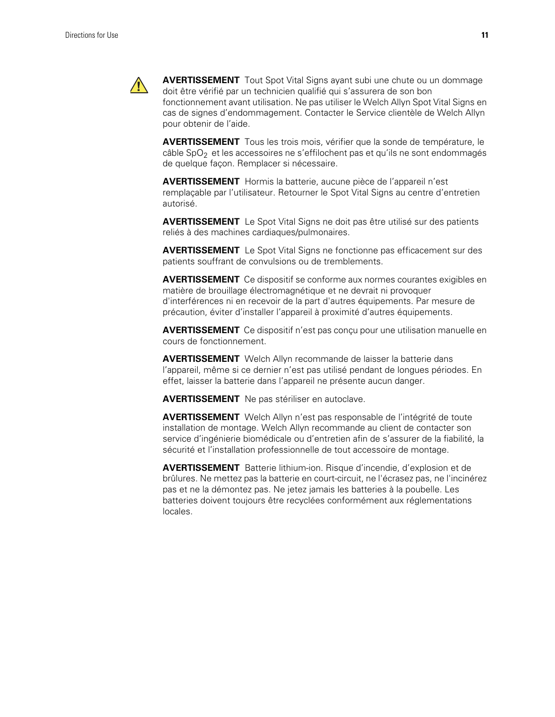

**AVERTISSEMENT** Tout Spot Vital Signs ayant subi une chute ou un dommage doit être vérifié par un technicien qualifié qui s'assurera de son bon fonctionnement avant utilisation. Ne pas utiliser le Welch Allyn Spot Vital Signs en cas de signes d'endommagement. Contacter le Service clientèle de Welch Allyn pour obtenir de l'aide.

**AVERTISSEMENT** Tous les trois mois, vérifier que la sonde de température, le câble SpO<sub>2</sub> et les accessoires ne s'effilochent pas et qu'ils ne sont endommagés de quelque façon. Remplacer si nécessaire.

**AVERTISSEMENT** Hormis la batterie, aucune pièce de l'appareil n'est remplaçable par l'utilisateur. Retourner le Spot Vital Signs au centre d'entretien autorisé.

**AVERTISSEMENT** Le Spot Vital Signs ne doit pas être utilisé sur des patients reliés à des machines cardiaques/pulmonaires.

**AVERTISSEMENT** Le Spot Vital Signs ne fonctionne pas efficacement sur des patients souffrant de convulsions ou de tremblements.

**AVERTISSEMENT** Ce dispositif se conforme aux normes courantes exigibles en matière de brouillage électromagnétique et ne devrait ni provoquer d'interférences ni en recevoir de la part d'autres équipements. Par mesure de précaution, éviter d'installer l'appareil à proximité d'autres équipements.

**AVERTISSEMENT** Ce dispositif n'est pas conçu pour une utilisation manuelle en cours de fonctionnement.

**AVERTISSEMENT** Welch Allyn recommande de laisser la batterie dans l'appareil, même si ce dernier n'est pas utilisé pendant de longues périodes. En effet, laisser la batterie dans l'appareil ne présente aucun danger.

**AVERTISSEMENT** Ne pas stériliser en autoclave.

**AVERTISSEMENT** Welch Allyn n'est pas responsable de l'intégrité de toute installation de montage. Welch Allyn recommande au client de contacter son service d'ingénierie biomédicale ou d'entretien afin de s'assurer de la fiabilité, la sécurité et l'installation professionnelle de tout accessoire de montage.

**AVERTISSEMENT** Batterie lithium-ion. Risque d'incendie, d'explosion et de brûlures. Ne mettez pas la batterie en court-circuit, ne l'écrasez pas, ne l'incinérez pas et ne la démontez pas. Ne jetez jamais les batteries à la poubelle. Les batteries doivent toujours être recyclées conformément aux réglementations locales.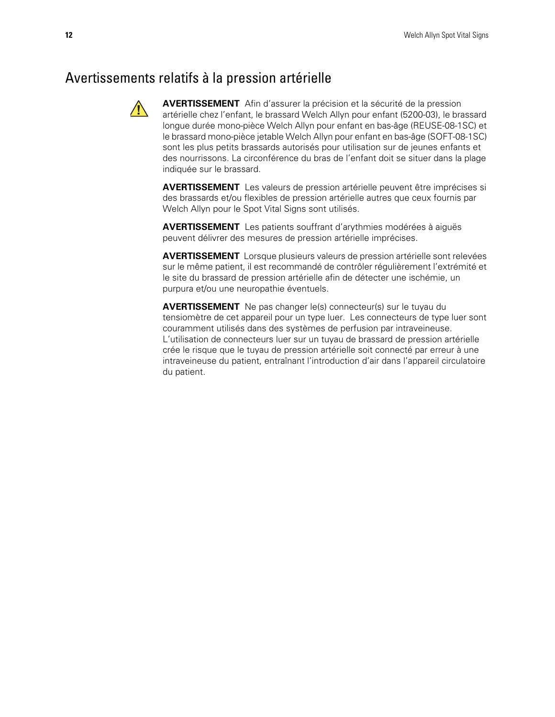### Avertissements relatifs à la pression artérielle



**AVERTISSEMENT** Afin d'assurer la précision et la sécurité de la pression artérielle chez l'enfant, le brassard Welch Allyn pour enfant (5200-03), le brassard longue durée mono-pièce Welch Allyn pour enfant en bas-âge (REUSE-08-1SC) et le brassard mono-pièce jetable Welch Allyn pour enfant en bas-âge (SOFT-08-1SC) sont les plus petits brassards autorisés pour utilisation sur de jeunes enfants et des nourrissons. La circonférence du bras de l'enfant doit se situer dans la plage indiquée sur le brassard.

**AVERTISSEMENT** Les valeurs de pression artérielle peuvent être imprécises si des brassards et/ou flexibles de pression artérielle autres que ceux fournis par Welch Allyn pour le Spot Vital Signs sont utilisés.

**AVERTISSEMENT** Les patients souffrant d'arythmies modérées à aiguës peuvent délivrer des mesures de pression artérielle imprécises.

**AVERTISSEMENT** Lorsque plusieurs valeurs de pression artérielle sont relevées sur le même patient, il est recommandé de contrôler régulièrement l'extrémité et le site du brassard de pression artérielle afin de détecter une ischémie, un purpura et/ou une neuropathie éventuels.

**AVERTISSEMENT** Ne pas changer le(s) connecteur(s) sur le tuyau du tensiomètre de cet appareil pour un type luer. Les connecteurs de type luer sont couramment utilisés dans des systèmes de perfusion par intraveineuse. L'utilisation de connecteurs luer sur un tuyau de brassard de pression artérielle crée le risque que le tuyau de pression artérielle soit connecté par erreur à une intraveineuse du patient, entraînant l'introduction d'air dans l'appareil circulatoire du patient.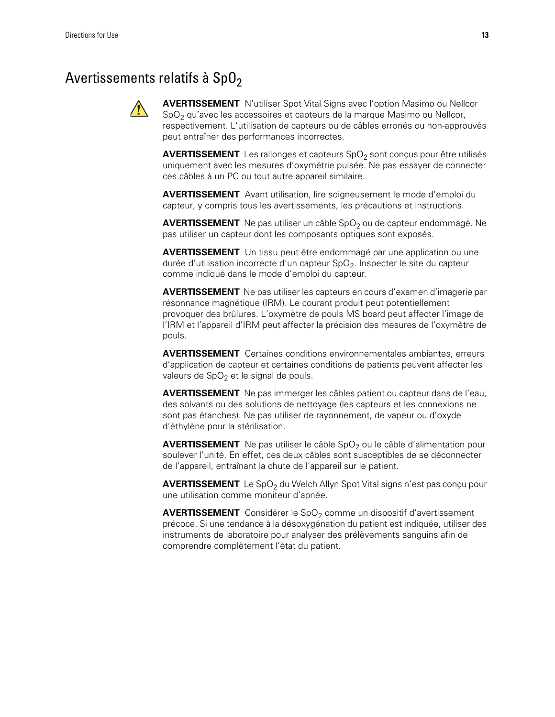## Avertissements relatifs à SpO<sub>2</sub>



**AVERTISSEMENT** N'utiliser Spot Vital Signs avec l'option Masimo ou Nellcor  $SpO<sub>2</sub>$  qu'avec les accessoires et capteurs de la marque Masimo ou Nellcor, respectivement. L'utilisation de capteurs ou de câbles erronés ou non-approuvés peut entraîner des performances incorrectes.

**AVERTISSEMENT** Les rallonges et capteurs SpO<sub>2</sub> sont conçus pour être utilisés uniquement avec les mesures d'oxymétrie pulsée. Ne pas essayer de connecter ces câbles à un PC ou tout autre appareil similaire.

**AVERTISSEMENT** Avant utilisation, lire soigneusement le mode d'emploi du capteur, y compris tous les avertissements, les précautions et instructions.

**AVERTISSEMENT** Ne pas utiliser un câble SpO<sub>2</sub> ou de capteur endommagé. Ne pas utiliser un capteur dont les composants optiques sont exposés.

**AVERTISSEMENT** Un tissu peut être endommagé par une application ou une durée d'utilisation incorrecte d'un capteur SpO<sub>2</sub>. Inspecter le site du capteur comme indiqué dans le mode d'emploi du capteur.

**AVERTISSEMENT** Ne pas utiliser les capteurs en cours d'examen d'imagerie par résonnance magnétique (IRM). Le courant produit peut potentiellement provoquer des brûlures. L'oxymètre de pouls MS board peut affecter l'image de l'IRM et l'appareil d'IRM peut affecter la précision des mesures de l'oxymètre de pouls.

**AVERTISSEMENT** Certaines conditions environnementales ambiantes, erreurs d'application de capteur et certaines conditions de patients peuvent affecter les valeurs de  $SpO<sub>2</sub>$  et le signal de pouls.

**AVERTISSEMENT** Ne pas immerger les câbles patient ou capteur dans de l'eau, des solvants ou des solutions de nettoyage (les capteurs et les connexions ne sont pas étanches). Ne pas utiliser de rayonnement, de vapeur ou d'oxyde d'éthylène pour la stérilisation.

**AVERTISSEMENT** Ne pas utiliser le câble SpO<sub>2</sub> ou le câble d'alimentation pour soulever l'unité. En effet, ces deux câbles sont susceptibles de se déconnecter de l'appareil, entraînant la chute de l'appareil sur le patient.

**AVERTISSEMENT** Le SpO<sub>2</sub> du Welch Allyn Spot Vital signs n'est pas conçu pour une utilisation comme moniteur d'apnée.

**AVERTISSEMENT** Considérer le SpO<sub>2</sub> comme un dispositif d'avertissement précoce. Si une tendance à la désoxygénation du patient est indiquée, utiliser des instruments de laboratoire pour analyser des prélèvements sanguins afin de comprendre complètement l'état du patient.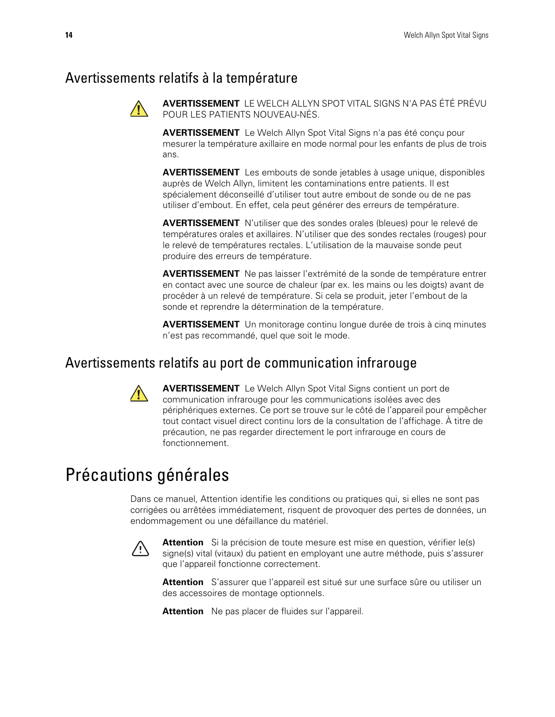### Avertissements relatifs à la température



**AVERTISSEMENT** LE WELCH ALLYN SPOT VITAL SIGNS N'A PAS ÉTÉ PRÉVU POUR LES PATIENTS NOUVEAU-NÉS.

**AVERTISSEMENT** Le Welch Allyn Spot Vital Signs n'a pas été conçu pour mesurer la température axillaire en mode normal pour les enfants de plus de trois ans.

**AVERTISSEMENT** Les embouts de sonde jetables à usage unique, disponibles auprès de Welch Allyn, limitent les contaminations entre patients. Il est spécialement déconseillé d'utiliser tout autre embout de sonde ou de ne pas utiliser d'embout. En effet, cela peut générer des erreurs de température.

**AVERTISSEMENT** N'utiliser que des sondes orales (bleues) pour le relevé de températures orales et axillaires. N'utiliser que des sondes rectales (rouges) pour le relevé de températures rectales. L'utilisation de la mauvaise sonde peut produire des erreurs de température.

**AVERTISSEMENT** Ne pas laisser l'extrémité de la sonde de température entrer en contact avec une source de chaleur (par ex. les mains ou les doigts) avant de procéder à un relevé de température. Si cela se produit, jeter l'embout de la sonde et reprendre la détermination de la température.

**AVERTISSEMENT** Un monitorage continu longue durée de trois à cinq minutes n'est pas recommandé, quel que soit le mode.

### Avertissements relatifs au port de communication infrarouge



**AVERTISSEMENT** Le Welch Allyn Spot Vital Signs contient un port de communication infrarouge pour les communications isolées avec des périphériques externes. Ce port se trouve sur le côté de l'appareil pour empêcher tout contact visuel direct continu lors de la consultation de l'affichage. À titre de précaution, ne pas regarder directement le port infrarouge en cours de fonctionnement.

# <span id="page-19-0"></span>Précautions générales

Dans ce manuel, Attention identifie les conditions ou pratiques qui, si elles ne sont pas corrigées ou arrêtées immédiatement, risquent de provoquer des pertes de données, un endommagement ou une défaillance du matériel.



Attention Si la précision de toute mesure est mise en question, vérifier le(s) signe(s) vital (vitaux) du patient en employant une autre méthode, puis s'assurer que l'appareil fonctionne correctement.

**Attention** S'assurer que l'appareil est situé sur une surface sûre ou utiliser un des accessoires de montage optionnels.

**Attention** Ne pas placer de fluides sur l'appareil.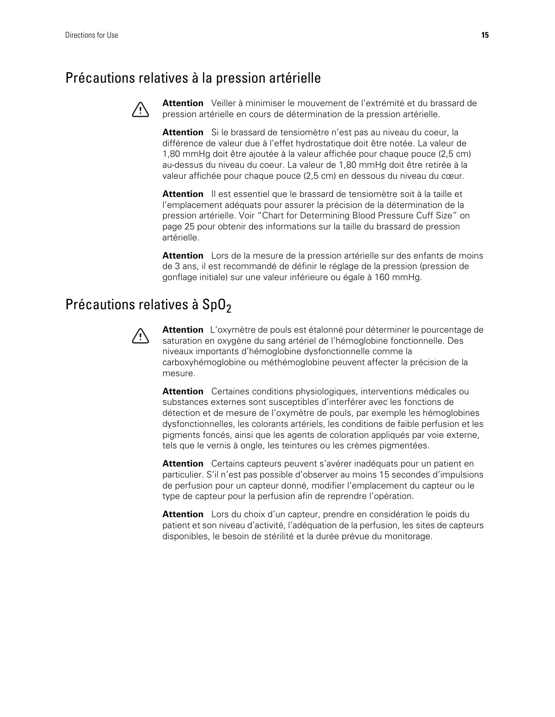# Précautions relatives à la pression artérielle



**Attention** Veiller à minimiser le mouvement de l'extrémité et du brassard de pression artérielle en cours de détermination de la pression artérielle.

**Attention** Si le brassard de tensiomètre n'est pas au niveau du coeur, la différence de valeur due à l'effet hydrostatique doit être notée. La valeur de 1,80 mmHg doit être ajoutée à la valeur affichée pour chaque pouce (2,5 cm) au-dessus du niveau du coeur. La valeur de 1,80 mmHg doit être retirée à la valeur affichée pour chaque pouce (2,5 cm) en dessous du niveau du cœur.

**Attention** Il est essentiel que le brassard de tensiomètre soit à la taille et l'emplacement adéquats pour assurer la précision de la détermination de la pression artérielle. Voir ["Chart for Determining Blood Pressure Cuff Size" on](#page-30-2) [page 25](#page-30-2) pour obtenir des informations sur la taille du brassard de pression artérielle.

**Attention** Lors de la mesure de la pression artérielle sur des enfants de moins de 3 ans, il est recommandé de définir le réglage de la pression (pression de gonflage initiale) sur une valeur inférieure ou égale à 160 mmHg.

# Précautions relatives à  $SpO<sub>2</sub>$



**Attention** L'oxymètre de pouls est étalonné pour déterminer le pourcentage de saturation en oxygène du sang artériel de l'hémoglobine fonctionnelle. Des niveaux importants d'hémoglobine dysfonctionnelle comme la carboxyhémoglobine ou méthémoglobine peuvent affecter la précision de la mesure.

**Attention** Certaines conditions physiologiques, interventions médicales ou substances externes sont susceptibles d'interférer avec les fonctions de détection et de mesure de l'oxymètre de pouls, par exemple les hémoglobines dysfonctionnelles, les colorants artériels, les conditions de faible perfusion et les pigments foncés, ainsi que les agents de coloration appliqués par voie externe, tels que le vernis à ongle, les teintures ou les crèmes pigmentées.

**Attention** Certains capteurs peuvent s'avérer inadéquats pour un patient en particulier. S'il n'est pas possible d'observer au moins 15 secondes d'impulsions de perfusion pour un capteur donné, modifier l'emplacement du capteur ou le type de capteur pour la perfusion afin de reprendre l'opération.

**Attention** Lors du choix d'un capteur, prendre en considération le poids du patient et son niveau d'activité, l'adéquation de la perfusion, les sites de capteurs disponibles, le besoin de stérilité et la durée prévue du monitorage.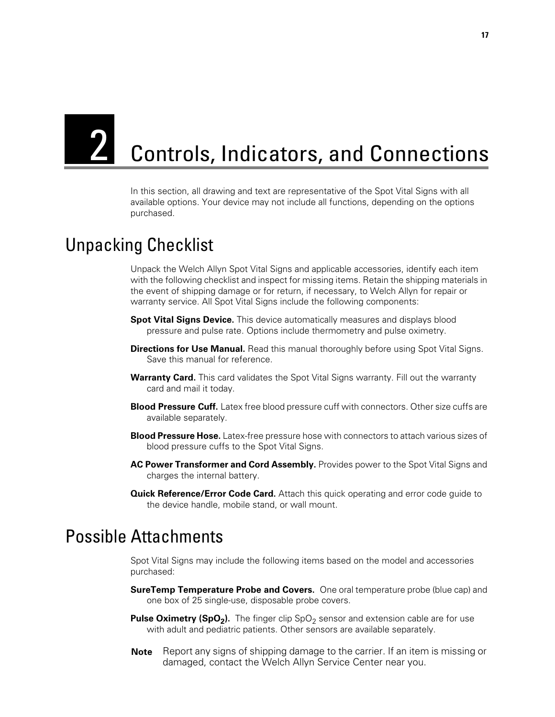2

# <span id="page-22-0"></span>Controls, Indicators, and Connections

In this section, all drawing and text are representative of the Spot Vital Signs with all available options. Your device may not include all functions, depending on the options purchased.

# <span id="page-22-1"></span>Unpacking Checklist

Unpack the Welch Allyn Spot Vital Signs and applicable accessories, identify each item with the following checklist and inspect for missing items. Retain the shipping materials in the event of shipping damage or for return, if necessary, to Welch Allyn for repair or warranty service. All Spot Vital Signs include the following components:

- **Spot Vital Signs Device.** This device automatically measures and displays blood pressure and pulse rate. Options include thermometry and pulse oximetry.
- **Directions for Use Manual.** Read this manual thoroughly before using Spot Vital Signs. Save this manual for reference.
- **Warranty Card.** This card validates the Spot Vital Signs warranty. Fill out the warranty card and mail it today.
- **Blood Pressure Cuff.** Latex free blood pressure cuff with connectors. Other size cuffs are available separately.
- **Blood Pressure Hose.** Latex-free pressure hose with connectors to attach various sizes of blood pressure cuffs to the Spot Vital Signs.
- **AC Power Transformer and Cord Assembly.** Provides power to the Spot Vital Signs and charges the internal battery.
- **Quick Reference/Error Code Card.** Attach this quick operating and error code guide to the device handle, mobile stand, or wall mount.

# <span id="page-22-2"></span>Possible Attachments

Spot Vital Signs may include the following items based on the model and accessories purchased:

- **SureTemp Temperature Probe and Covers.** One oral temperature probe (blue cap) and one box of 25 single-use, disposable probe covers.
- **Pulse Oximetry (SpO<sub>2</sub>).** The finger clip SpO<sub>2</sub> sensor and extension cable are for use with adult and pediatric patients. Other sensors are available separately.
- **Note** Report any signs of shipping damage to the carrier. If an item is missing or damaged, contact the Welch Allyn Service Center near you.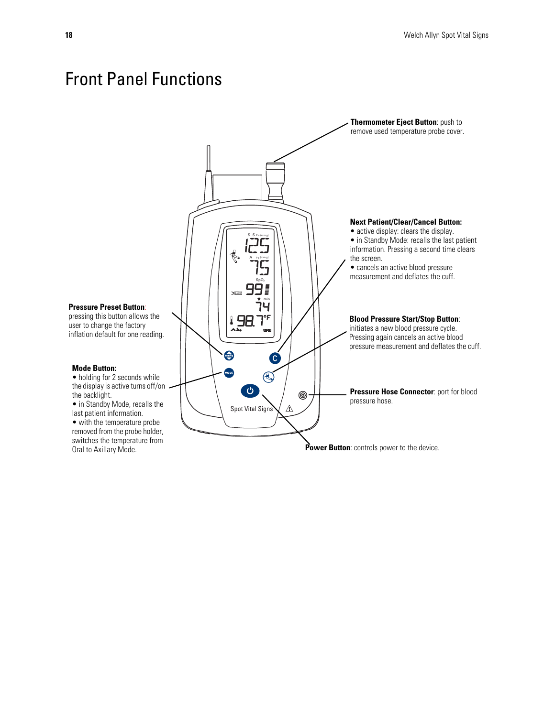# <span id="page-23-0"></span>Front Panel Functions

<span id="page-23-1"></span>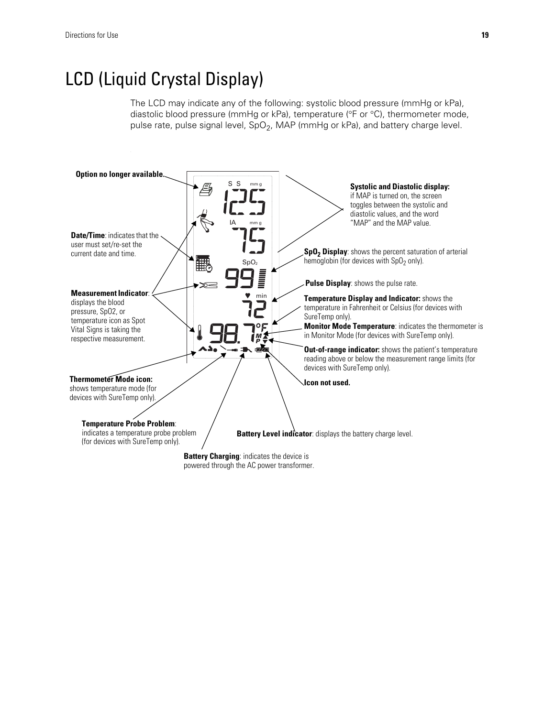# <span id="page-24-0"></span>LCD (Liquid Crystal Display)

The LCD may indicate any of the following: systolic blood pressure (mmHg or kPa), diastolic blood pressure (mmHg or kPa), temperature (°F or °C), thermometer mode, pulse rate, pulse signal level,  $SpO<sub>2</sub>$ , MAP (mmHg or kPa), and battery charge level.

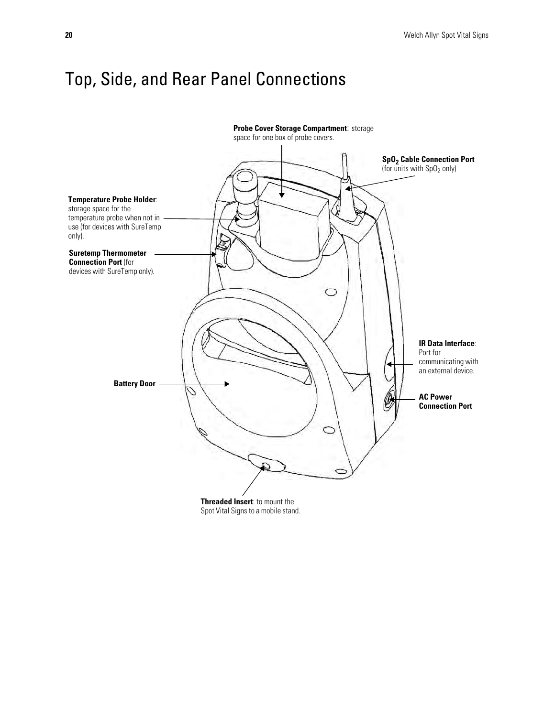# <span id="page-25-0"></span>Top, Side, and Rear Panel Connections

<span id="page-25-1"></span>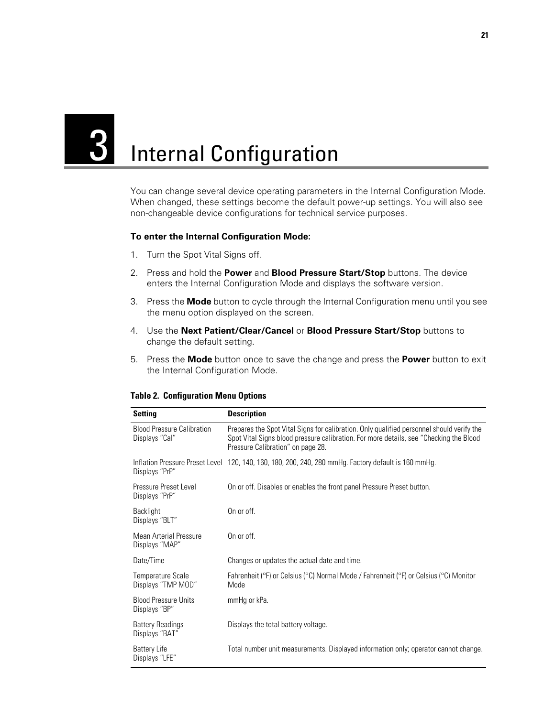# 3

# <span id="page-26-1"></span><span id="page-26-0"></span>Internal Configuration

You can change several device operating parameters in the Internal Configuration Mode. When changed, these settings become the default power-up settings. You will also see non-changeable device configurations for technical service purposes.

#### **To enter the Internal Configuration Mode:**

- 1. Turn the Spot Vital Signs off.
- 2. Press and hold the **Power** and **Blood Pressure Start/Stop** buttons. The device enters the Internal Configuration Mode and displays the software version.
- 3. Press the **Mode** button to cycle through the Internal Configuration menu until you see the menu option displayed on the screen.
- 4. Use the **Next Patient/Clear/Cancel** or **Blood Pressure Start/Stop** buttons to change the default setting.
- 5. Press the **Mode** button once to save the change and press the **Power** button to exit the Internal Configuration Mode.

| Setting                                             | <b>Description</b>                                                                                                                                                                                                       |
|-----------------------------------------------------|--------------------------------------------------------------------------------------------------------------------------------------------------------------------------------------------------------------------------|
| <b>Blood Pressure Calibration</b><br>Displays "Cal" | Prepares the Spot Vital Signs for calibration. Only qualified personnel should verify the<br>Spot Vital Signs blood pressure calibration. For more details, see "Checking the Blood<br>Pressure Calibration" on page 28. |
| Displays "PrP"                                      | Inflation Pressure Preset Level 120, 140, 160, 180, 200, 240, 280 mmHg. Factory default is 160 mmHg.                                                                                                                     |
| Pressure Preset Level<br>Displays "PrP"             | On or off. Disables or enables the front panel Pressure Preset button.                                                                                                                                                   |
| Backlight<br>Displays "BLT"                         | On or off.                                                                                                                                                                                                               |
| Mean Arterial Pressure<br>Displays "MAP"            | On or off.                                                                                                                                                                                                               |
| Date/Time                                           | Changes or updates the actual date and time.                                                                                                                                                                             |
| Temperature Scale<br>Displays "TMP MOD"             | Fahrenheit (°F) or Celsius (°C) Normal Mode / Fahrenheit (°F) or Celsius (°C) Monitor<br>Mode                                                                                                                            |
| <b>Blood Pressure Units</b><br>Displays "BP"        | mmHg or kPa.                                                                                                                                                                                                             |
| <b>Battery Readings</b><br>Displays "BAT"           | Displays the total battery voltage.                                                                                                                                                                                      |
| <b>Battery Life</b><br>Displays "LFE"               | Total number unit measurements. Displayed information only; operator cannot change.                                                                                                                                      |

#### **Table 2. Configuration Menu Options**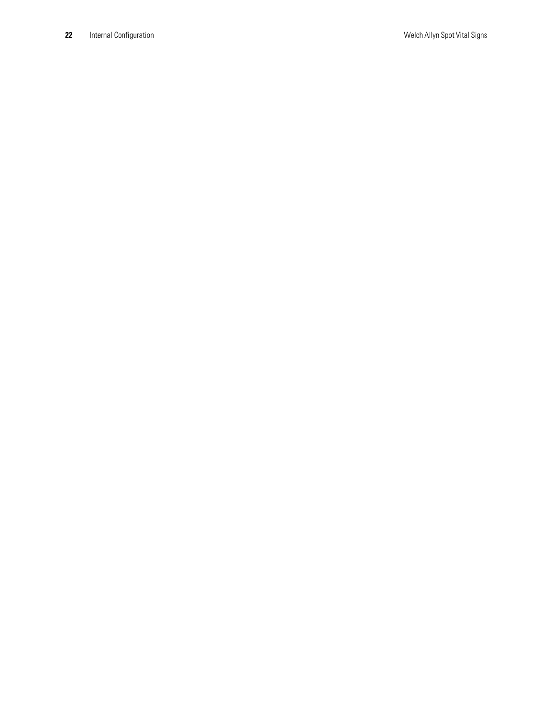Internal Configuration **22** Internal Configuration **Welch Allyn Spot Vital Signs**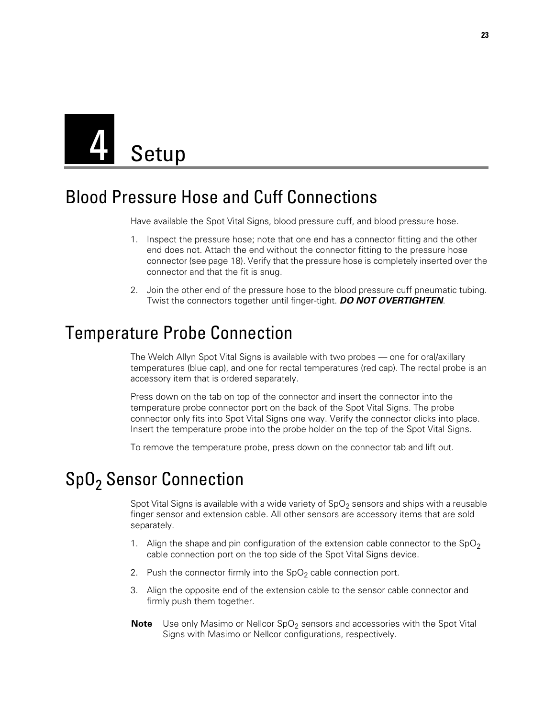# <span id="page-28-0"></span>4 Setup

# <span id="page-28-1"></span>Blood Pressure Hose and Cuff Connections

Have available the Spot Vital Signs, blood pressure cuff, and blood pressure hose.

- 1. Inspect the pressure hose; note that one end has a connector fitting and the other end does not. Attach the end without the connector fitting to the pressure hose connector (see [page 18\)](#page-23-1). Verify that the pressure hose is completely inserted over the connector and that the fit is snug.
- 2. Join the other end of the pressure hose to the blood pressure cuff pneumatic tubing. Twist the connectors together until finger-tight. *DO NOT OVERTIGHTEN*.

# <span id="page-28-2"></span>Temperature Probe Connection

The Welch Allyn Spot Vital Signs is available with two probes — one for oral/axillary temperatures (blue cap), and one for rectal temperatures (red cap). The rectal probe is an accessory item that is ordered separately.

Press down on the tab on top of the connector and insert the connector into the temperature probe connector port on the back of the Spot Vital Signs. The probe connector only fits into Spot Vital Signs one way. Verify the connector clicks into place. Insert the temperature probe into the probe holder on the top of the Spot Vital Signs.

To remove the temperature probe, press down on the connector tab and lift out.

# <span id="page-28-3"></span>SpO<sub>2</sub> Sensor Connection

Spot Vital Signs is available with a wide variety of  $SpO<sub>2</sub>$  sensors and ships with a reusable finger sensor and extension cable. All other sensors are accessory items that are sold separately.

- 1. Align the shape and pin configuration of the extension cable connector to the  $SpO<sub>2</sub>$ cable connection port on the top side of the Spot Vital Signs device.
- 2. Push the connector firmly into the  $SpO<sub>2</sub>$  cable connection port.
- 3. Align the opposite end of the extension cable to the sensor cable connector and firmly push them together.
- **Note** Use only Masimo or Nellcor SpO<sub>2</sub> sensors and accessories with the Spot Vital Signs with Masimo or Nellcor configurations, respectively.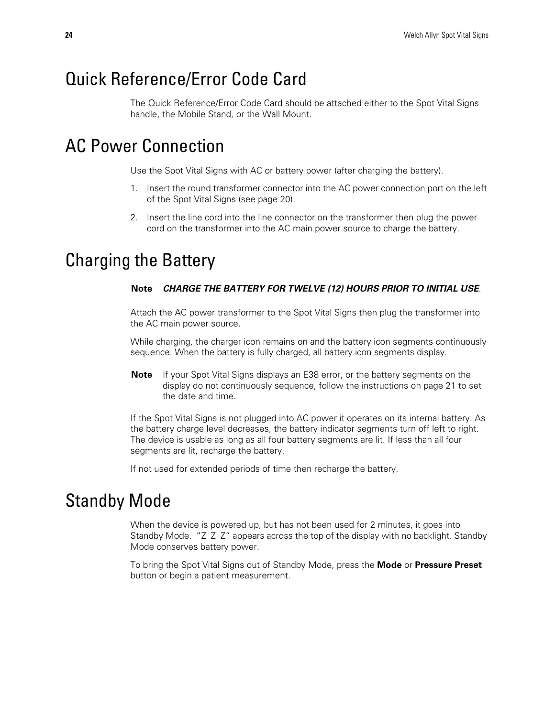# <span id="page-29-0"></span>Quick Reference/Error Code Card

The Quick Reference/Error Code Card should be attached either to the Spot Vital Signs handle, the Mobile Stand, or the Wall Mount.

# <span id="page-29-1"></span>AC Power Connection

Use the Spot Vital Signs with AC or battery power (after charging the battery).

- 1. Insert the round transformer connector into the AC power connection port on the left of the Spot Vital Signs (see [page 20](#page-25-1)).
- 2. Insert the line cord into the line connector on the transformer then plug the power cord on the transformer into the AC main power source to charge the battery.

# <span id="page-29-2"></span>Charging the Battery

#### **Note** *CHARGE THE BATTERY FOR TWELVE (12) HOURS PRIOR TO INITIAL USE*.

Attach the AC power transformer to the Spot Vital Signs then plug the transformer into the AC main power source.

While charging, the charger icon remains on and the battery icon segments continuously sequence. When the battery is fully charged, all battery icon segments display.

**Note** If your Spot Vital Signs displays an E38 error, or the battery segments on the display do not continuously sequence, follow the instructions on [page 21](#page-26-1) to set the date and time.

If the Spot Vital Signs is not plugged into AC power it operates on its internal battery. As the battery charge level decreases, the battery indicator segments turn off left to right. The device is usable as long as all four battery segments are lit. If less than all four segments are lit, recharge the battery.

If not used for extended periods of time then recharge the battery.

# <span id="page-29-3"></span>Standby Mode

When the device is powered up, but has not been used for 2 minutes, it goes into Standby Mode. "Z Z Z" appears across the top of the display with no backlight. Standby Mode conserves battery power.

To bring the Spot Vital Signs out of Standby Mode, press the **Mode** or **Pressure Preset** button or begin a patient measurement.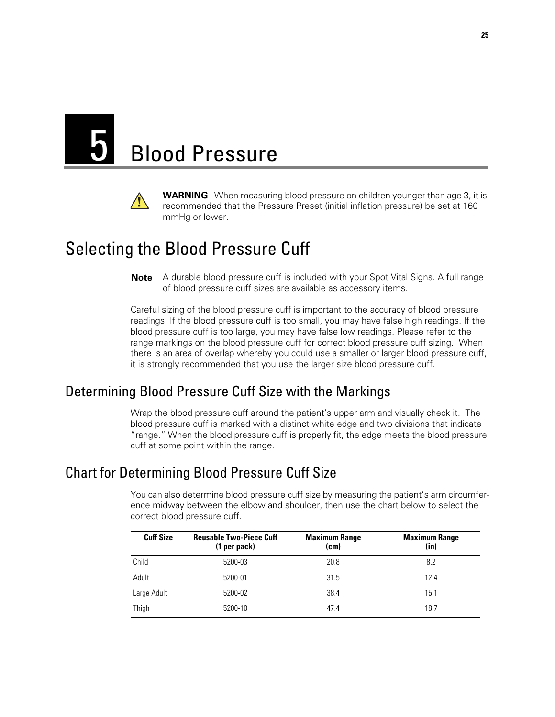# <span id="page-30-0"></span>5 Blood Pressure



**WARNING** When measuring blood pressure on children younger than age 3, it is recommended that the Pressure Preset (initial inflation pressure) be set at 160 mmHg or lower.

# <span id="page-30-1"></span>Selecting the Blood Pressure Cuff

**Note** A durable blood pressure cuff is included with your Spot Vital Signs. A full range of blood pressure cuff sizes are available as accessory items.

Careful sizing of the blood pressure cuff is important to the accuracy of blood pressure readings. If the blood pressure cuff is too small, you may have false high readings. If the blood pressure cuff is too large, you may have false low readings. Please refer to the range markings on the blood pressure cuff for correct blood pressure cuff sizing. When there is an area of overlap whereby you could use a smaller or larger blood pressure cuff, it is strongly recommended that you use the larger size blood pressure cuff.

# Determining Blood Pressure Cuff Size with the Markings

Wrap the blood pressure cuff around the patient's upper arm and visually check it. The blood pressure cuff is marked with a distinct white edge and two divisions that indicate "range." When the blood pressure cuff is properly fit, the edge meets the blood pressure cuff at some point within the range.

# <span id="page-30-2"></span>Chart for Determining Blood Pressure Cuff Size

You can also determine blood pressure cuff size by measuring the patient's arm circumference midway between the elbow and shoulder, then use the chart below to select the correct blood pressure cuff.

| <b>Cuff Size</b> | <b>Reusable Two-Piece Cuff</b><br>$(1$ per pack) | <b>Maximum Range</b><br>(cm) | <b>Maximum Range</b><br>(in) |
|------------------|--------------------------------------------------|------------------------------|------------------------------|
| Child            | 5200-03                                          | 20.8                         | 8.2                          |
| Adult            | 5200-01                                          | 31.5                         | 12.4                         |
| Large Adult      | 5200-02                                          | 38.4                         | 15.1                         |
| Thigh            | 5200-10                                          | 47.4                         | 18.7                         |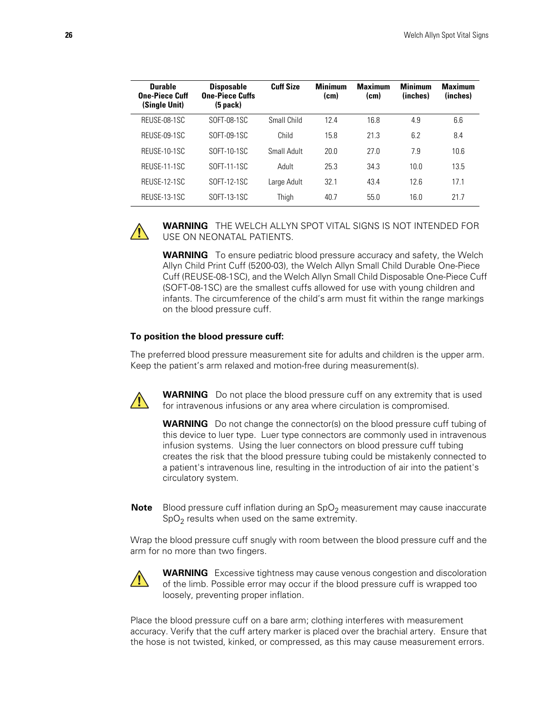| <b>Durable</b><br><b>One-Piece Cuff</b><br>(Single Unit) | <b>Disposable</b><br><b>One-Piece Cuffs</b><br>(5 pack) | <b>Cuff Size</b> | <b>Minimum</b><br>(c <sub>m</sub> ) | <b>Maximum</b><br>(c <sub>m</sub> ) | <b>Minimum</b><br>(inches) | <b>Maximum</b><br>(inches) |
|----------------------------------------------------------|---------------------------------------------------------|------------------|-------------------------------------|-------------------------------------|----------------------------|----------------------------|
| RELISE-08-1SC                                            | SOFT-08-1SC                                             | Small Child      | 124                                 | 16.8                                | 4.9                        | 6.6                        |
| RELISE-09-1SC                                            | SOFT-09-1SC                                             | Child            | 15.8                                | 21.3                                | 6.2                        | 8.4                        |
| RELISE-10-1SC                                            | SOFT-10-1SC                                             | Small Adult      | 20.0                                | 27.0                                | 7.9                        | 10.6                       |
| RELISE-11-1SC                                            | SOFT-11-1SC                                             | Adult            | 25.3                                | 34.3                                | 10.0                       | 13.5                       |
| RELISE-12-1SC                                            | SOFT-12-1SC                                             | Large Adult      | 32.1                                | 43.4                                | 12.6                       | 17.1                       |
| REUSE-13-1SC                                             | SOFT-13-1SC                                             | Thigh            | 40.7                                | 55.0                                | 16.0                       | 21.7                       |



#### **WARNING** THE WELCH ALLYN SPOT VITAL SIGNS IS NOT INTENDED FOR USE ON NEONATAL PATIENTS.

**WARNING** To ensure pediatric blood pressure accuracy and safety, the Welch Allyn Child Print Cuff (5200-03), the Welch Allyn Small Child Durable One-Piece Cuff (REUSE-08-1SC), and the Welch Allyn Small Child Disposable One-Piece Cuff (SOFT-08-1SC) are the smallest cuffs allowed for use with young children and infants. The circumference of the child's arm must fit within the range markings on the blood pressure cuff.

#### **To position the blood pressure cuff:**

The preferred blood pressure measurement site for adults and children is the upper arm. Keep the patient's arm relaxed and motion-free during measurement(s).



**WARNING** Do not place the blood pressure cuff on any extremity that is used for intravenous infusions or any area where circulation is compromised.

**WARNING** Do not change the connector(s) on the blood pressure cuff tubing of this device to luer type. Luer type connectors are commonly used in intravenous infusion systems. Using the luer connectors on blood pressure cuff tubing creates the risk that the blood pressure tubing could be mistakenly connected to a patient's intravenous line, resulting in the introduction of air into the patient's circulatory system.

**Note** Blood pressure cuff inflation during an SpO<sub>2</sub> measurement may cause inaccurate  $SpO<sub>2</sub>$  results when used on the same extremity.

Wrap the blood pressure cuff snugly with room between the blood pressure cuff and the arm for no more than two fingers.



**WARNING** Excessive tightness may cause venous congestion and discoloration of the limb. Possible error may occur if the blood pressure cuff is wrapped too loosely, preventing proper inflation.

Place the blood pressure cuff on a bare arm; clothing interferes with measurement accuracy. Verify that the cuff artery marker is placed over the brachial artery. Ensure that the hose is not twisted, kinked, or compressed, as this may cause measurement errors.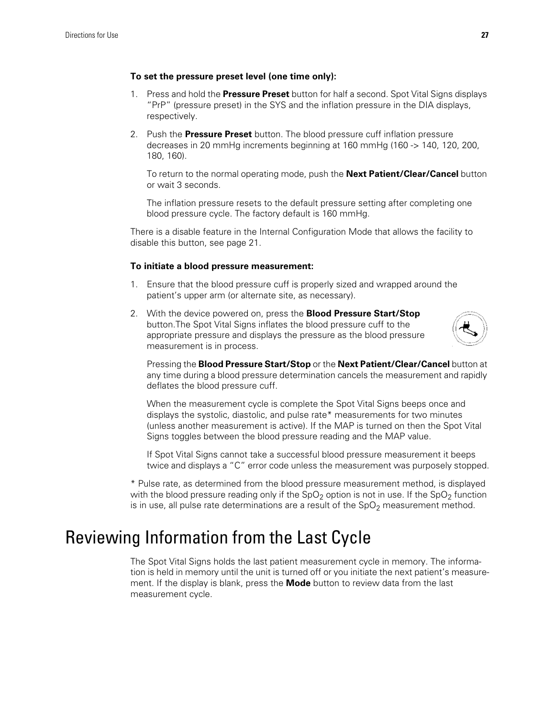#### **To set the pressure preset level (one time only):**

- 1. Press and hold the **Pressure Preset** button for half a second. Spot Vital Signs displays "PrP" (pressure preset) in the SYS and the inflation pressure in the DIA displays, respectively.
- 2. Push the **Pressure Preset** button. The blood pressure cuff inflation pressure decreases in 20 mmHg increments beginning at 160 mmHg (160 -> 140, 120, 200, 180, 160).

To return to the normal operating mode, push the **Next Patient/Clear/Cancel** button or wait 3 seconds.

The inflation pressure resets to the default pressure setting after completing one blood pressure cycle. The factory default is 160 mmHg.

There is a disable feature in the Internal Configuration Mode that allows the facility to disable this button, see [page 21.](#page-26-1)

#### **To initiate a blood pressure measurement:**

- 1. Ensure that the blood pressure cuff is properly sized and wrapped around the patient's upper arm (or alternate site, as necessary).
- 2. With the device powered on, press the **Blood Pressure Start/Stop** button.The Spot Vital Signs inflates the blood pressure cuff to the appropriate pressure and displays the pressure as the blood pressure measurement is in process.



Pressing the **Blood Pressure Start/Stop** or the **Next Patient/Clear/Cancel** button at any time during a blood pressure determination cancels the measurement and rapidly deflates the blood pressure cuff.

When the measurement cycle is complete the Spot Vital Signs beeps once and displays the systolic, diastolic, and pulse rate\* measurements for two minutes (unless another measurement is active). If the MAP is turned on then the Spot Vital Signs toggles between the blood pressure reading and the MAP value.

If Spot Vital Signs cannot take a successful blood pressure measurement it beeps twice and displays a "C" error code unless the measurement was purposely stopped.

\* Pulse rate, as determined from the blood pressure measurement method, is displayed with the blood pressure reading only if the  $SpO<sub>2</sub>$  option is not in use. If the  $SpO<sub>2</sub>$  function is in use, all pulse rate determinations are a result of the  $SpO<sub>2</sub>$  measurement method.

# <span id="page-32-0"></span>Reviewing Information from the Last Cycle

The Spot Vital Signs holds the last patient measurement cycle in memory. The information is held in memory until the unit is turned off or you initiate the next patient's measurement. If the display is blank, press the **Mode** button to review data from the last measurement cycle.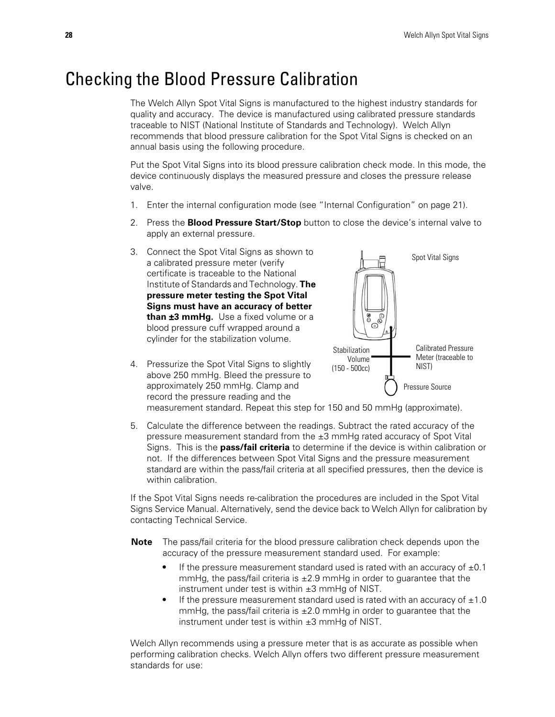# <span id="page-33-1"></span><span id="page-33-0"></span>Checking the Blood Pressure Calibration

The Welch Allyn Spot Vital Signs is manufactured to the highest industry standards for quality and accuracy. The device is manufactured using calibrated pressure standards traceable to NIST (National Institute of Standards and Technology). Welch Allyn recommends that blood pressure calibration for the Spot Vital Signs is checked on an annual basis using the following procedure.

Put the Spot Vital Signs into its blood pressure calibration check mode. In this mode, the device continuously displays the measured pressure and closes the pressure release valve.

- 1. Enter the internal configuration mode [\(see "Internal Configuration" on page 21\)](#page-26-1).
- 2. Press the **Blood Pressure Start/Stop** button to close the device's internal valve to apply an external pressure.
- 3. Connect the Spot Vital Signs as shown to a calibrated pressure meter (verify certificate is traceable to the National Institute of Standards and Technology. **The pressure meter testing the Spot Vital Signs must have an accuracy of better than ±3 mmHg.** Use a fixed volume or a blood pressure cuff wrapped around a cylinder for the stabilization volume.



4. Pressurize the Spot Vital Signs to slightly above 250 mmHg. Bleed the pressure to approximately 250 mmHg. Clamp and record the pressure reading and the

measurement standard. Repeat this step for 150 and 50 mmHg (approximate).

5. Calculate the difference between the readings. Subtract the rated accuracy of the pressure measurement standard from the ±3 mmHg rated accuracy of Spot Vital Signs. This is the **pass/fail criteria** to determine if the device is within calibration or not. If the differences between Spot Vital Signs and the pressure measurement standard are within the pass/fail criteria at all specified pressures, then the device is within calibration.

If the Spot Vital Signs needs re-calibration the procedures are included in the Spot Vital Signs Service Manual. Alternatively, send the device back to Welch Allyn for calibration by contacting Technical Service.

- **Note** The pass/fail criteria for the blood pressure calibration check depends upon the accuracy of the pressure measurement standard used. For example:
	- **•** If the pressure measurement standard used is rated with an accuracy of ±0.1 mmHg, the pass/fail criteria is  $\pm 2.9$  mmHg in order to guarantee that the instrument under test is within  $\pm 3$  mmHg of NIST.
	- If the pressure measurement standard used is rated with an accuracy of  $\pm 1.0$ mmHg, the pass/fail criteria is  $\pm 2.0$  mmHg in order to guarantee that the instrument under test is within  $\pm 3$  mmHg of NIST.

Welch Allyn recommends using a pressure meter that is as accurate as possible when performing calibration checks. Welch Allyn offers two different pressure measurement standards for use: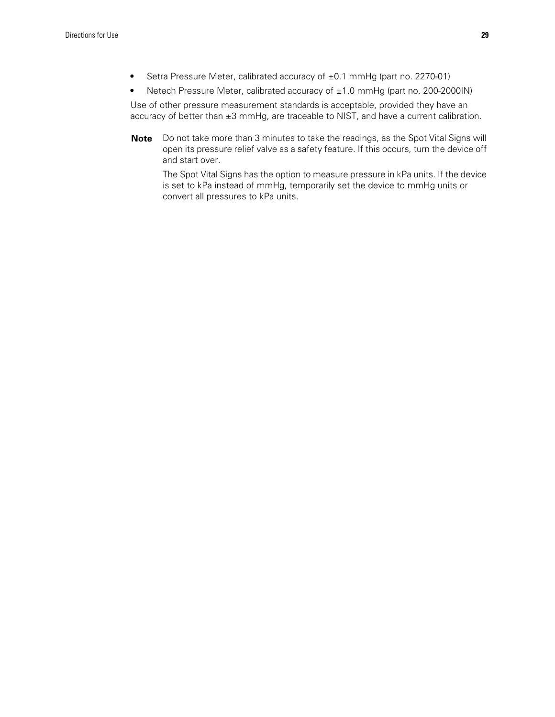- **•** Setra Pressure Meter, calibrated accuracy of ±0.1 mmHg (part no. 2270-01)
- Netech Pressure Meter, calibrated accuracy of  $\pm 1.0$  mmHg (part no. 200-2000IN)

Use of other pressure measurement standards is acceptable, provided they have an accuracy of better than ±3 mmHg, are traceable to NIST, and have a current calibration.

**Note** Do not take more than 3 minutes to take the readings, as the Spot Vital Signs will open its pressure relief valve as a safety feature. If this occurs, turn the device off and start over.

The Spot Vital Signs has the option to measure pressure in kPa units. If the device is set to kPa instead of mmHg, temporarily set the device to mmHg units or convert all pressures to kPa units.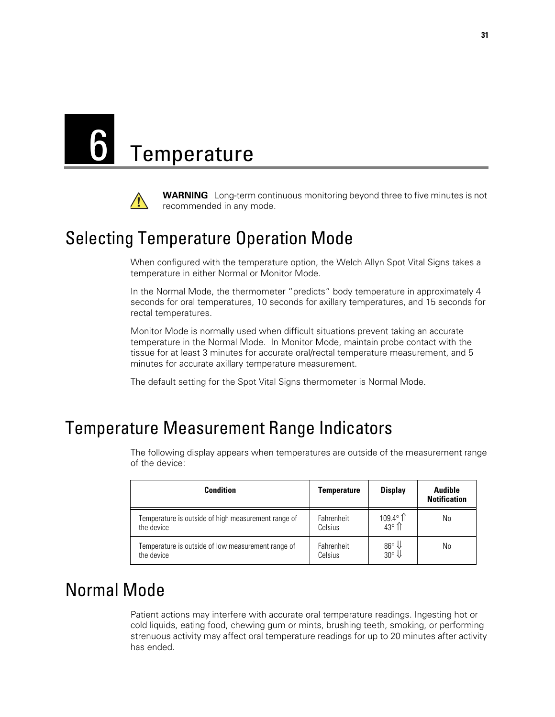



**WARNING** Long-term continuous monitoring beyond three to five minutes is not recommended in any mode.

### Selecting Temperature Operation Mode

When configured with the temperature option, the Welch Allyn Spot Vital Signs takes a temperature in either Normal or Monitor Mode.

In the Normal Mode, the thermometer "predicts" body temperature in approximately 4 seconds for oral temperatures, 10 seconds for axillary temperatures, and 15 seconds for rectal temperatures.

Monitor Mode is normally used when difficult situations prevent taking an accurate temperature in the Normal Mode. In Monitor Mode, maintain probe contact with the tissue for at least 3 minutes for accurate oral/rectal temperature measurement, and 5 minutes for accurate axillary temperature measurement.

The default setting for the Spot Vital Signs thermometer is Normal Mode.

### Temperature Measurement Range Indicators

The following display appears when temperatures are outside of the measurement range of the device:

| <b>Condition</b>                                                  | <b>Temperature</b>    | <b>Display</b>                    | <b>Audible</b><br><b>Notification</b> |
|-------------------------------------------------------------------|-----------------------|-----------------------------------|---------------------------------------|
| Temperature is outside of high measurement range of<br>the device | Fahrenheit<br>Celsius | $109.4^\circ$ 1<br>$43^{\circ}$ 1 | No                                    |
| Temperature is outside of low measurement range of<br>the device  | Fahrenheit<br>Celsius | $\frac{86^{\circ}}{30^{\circ}}$   | No                                    |

### Normal Mode

Patient actions may interfere with accurate oral temperature readings. Ingesting hot or cold liquids, eating food, chewing gum or mints, brushing teeth, smoking, or performing strenuous activity may affect oral temperature readings for up to 20 minutes after activity has ended.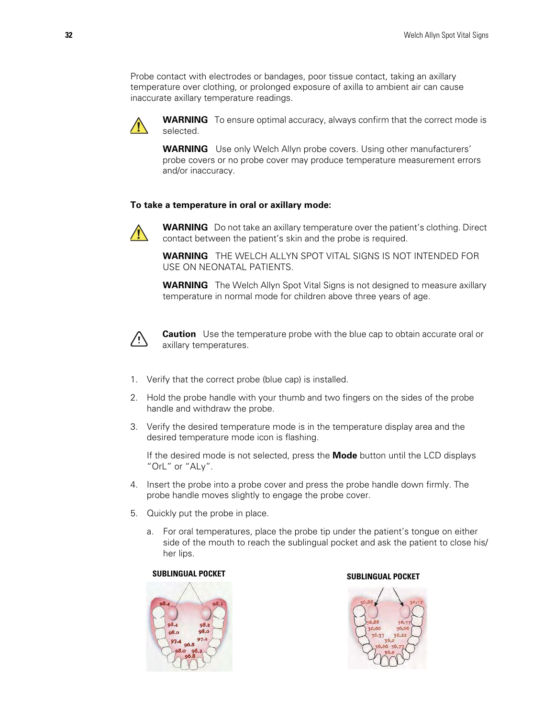Probe contact with electrodes or bandages, poor tissue contact, taking an axillary temperature over clothing, or prolonged exposure of axilla to ambient air can cause inaccurate axillary temperature readings.



**WARNING** To ensure optimal accuracy, always confirm that the correct mode is selected.

**WARNING** Use only Welch Allyn probe covers. Using other manufacturers' probe covers or no probe cover may produce temperature measurement errors and/or inaccuracy.

#### **To take a temperature in oral or axillary mode:**



**WARNING** Do not take an axillary temperature over the patient's clothing. Direct contact between the patient's skin and the probe is required.

**WARNING** THE WELCH ALLYN SPOT VITAL SIGNS IS NOT INTENDED FOR USE ON NEONATAL PATIENTS.

**WARNING** The Welch Allyn Spot Vital Signs is not designed to measure axillary temperature in normal mode for children above three years of age.



**Caution** Use the temperature probe with the blue cap to obtain accurate oral or axillary temperatures.

- 1. Verify that the correct probe (blue cap) is installed.
- 2. Hold the probe handle with your thumb and two fingers on the sides of the probe handle and withdraw the probe.
- 3. Verify the desired temperature mode is in the temperature display area and the desired temperature mode icon is flashing.

If the desired mode is not selected, press the **Mode** button until the LCD displays "OrL" or "ALy".

- 4. Insert the probe into a probe cover and press the probe handle down firmly. The probe handle moves slightly to engage the probe cover.
- 5. Quickly put the probe in place.
	- a. For oral temperatures, place the probe tip under the patient's tongue on either side of the mouth to reach the sublingual pocket and ask the patient to close his/ her lips.

#### **SUBLINGUAL POCKET SUBLINGUAL POCKET**



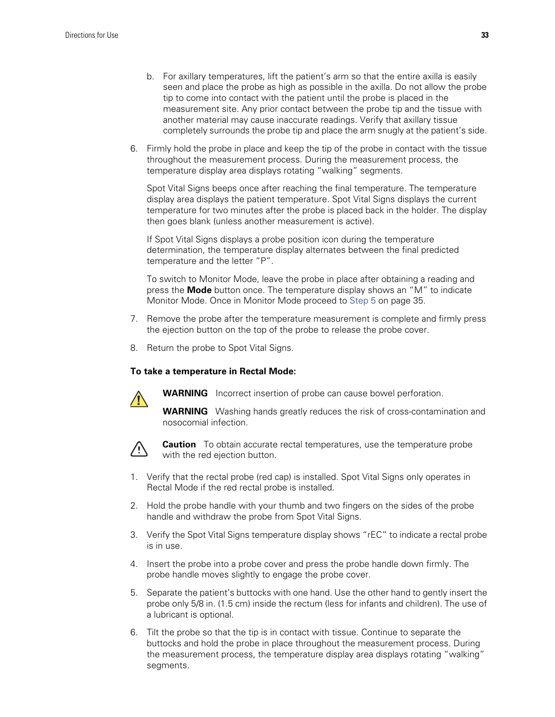- b. For axillary temperatures, lift the patient's arm so that the entire axilla is easily seen and place the probe as high as possible in the axilla. Do not allow the probe tip to come into contact with the patient until the probe is placed in the measurement site. Any prior contact between the probe tip and the tissue with another material may cause inaccurate readings. Verify that axillary tissue completely surrounds the probe tip and place the arm snugly at the patient's side.
- 6. Firmly hold the probe in place and keep the tip of the probe in contact with the tissue throughout the measurement process. During the measurement process, the temperature display area displays rotating "walking" segments.

Spot Vital Signs beeps once after reaching the final temperature. The temperature display area displays the patient temperature. Spot Vital Signs displays the current temperature for two minutes after the probe is placed back in the holder. The display then goes blank (unless another measurement is active).

If Spot Vital Signs displays a probe position icon during the temperature determination, the temperature display alternates between the final predicted temperature and the letter "P".

To switch to Monitor Mode, leave the probe in place after obtaining a reading and press the **Mode** button once. The temperature display shows an "M" to indicate Monitor Mode. Once in Monitor Mode proceed to Step 5 on page 35.

- 7. Remove the probe after the temperature measurement is complete and firmly press the ejection button on the top of the probe to release the probe cover.
- 8. Return the probe to Spot Vital Signs.

#### **To take a temperature in Rectal Mode:**



**WARNING** Incorrect insertion of probe can cause bowel perforation.

**WARNING** Washing hands greatly reduces the risk of cross-contamination and nosocomial infection.



**Caution** To obtain accurate rectal temperatures, use the temperature probe with the red ejection button.

- 1. Verify that the rectal probe (red cap) is installed. Spot Vital Signs only operates in Rectal Mode if the red rectal probe is installed.
- 2. Hold the probe handle with your thumb and two fingers on the sides of the probe handle and withdraw the probe from Spot Vital Signs.
- 3. Verify the Spot Vital Signs temperature display shows "rEC" to indicate a rectal probe is in use.
- 4. Insert the probe into a probe cover and press the probe handle down firmly. The probe handle moves slightly to engage the probe cover.
- 5. Separate the patient's buttocks with one hand. Use the other hand to gently insert the probe only 5/8 in. (1.5 cm) inside the rectum (less for infants and children). The use of a lubricant is optional.
- 6. Tilt the probe so that the tip is in contact with tissue. Continue to separate the buttocks and hold the probe in place throughout the measurement process. During the measurement process, the temperature display area displays rotating "walking" segments.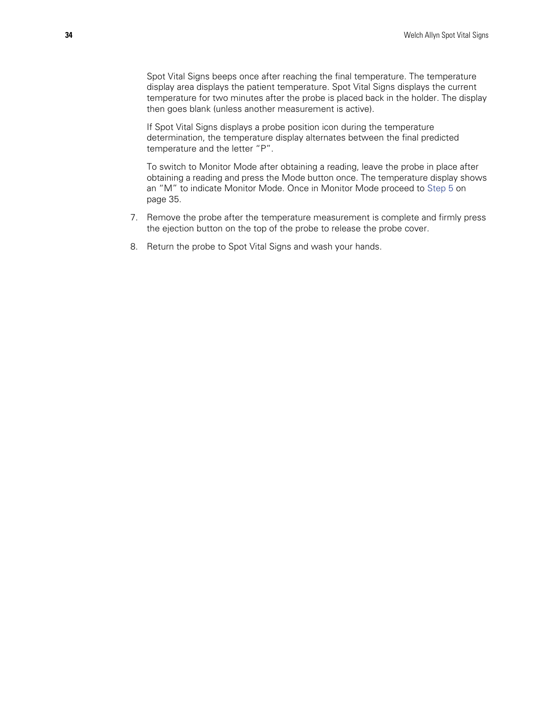Spot Vital Signs beeps once after reaching the final temperature. The temperature display area displays the patient temperature. Spot Vital Signs displays the current temperature for two minutes after the probe is placed back in the holder. The display then goes blank (unless another measurement is active).

If Spot Vital Signs displays a probe position icon during the temperature determination, the temperature display alternates between the final predicted temperature and the letter "P".

To switch to Monitor Mode after obtaining a reading, leave the probe in place after obtaining a reading and press the Mode button once. The temperature display shows an "M" to indicate Monitor Mode. Once in Monitor Mode proceed to Step 5 on page 35.

- 7. Remove the probe after the temperature measurement is complete and firmly press the ejection button on the top of the probe to release the probe cover.
- 8. Return the probe to Spot Vital Signs and wash your hands.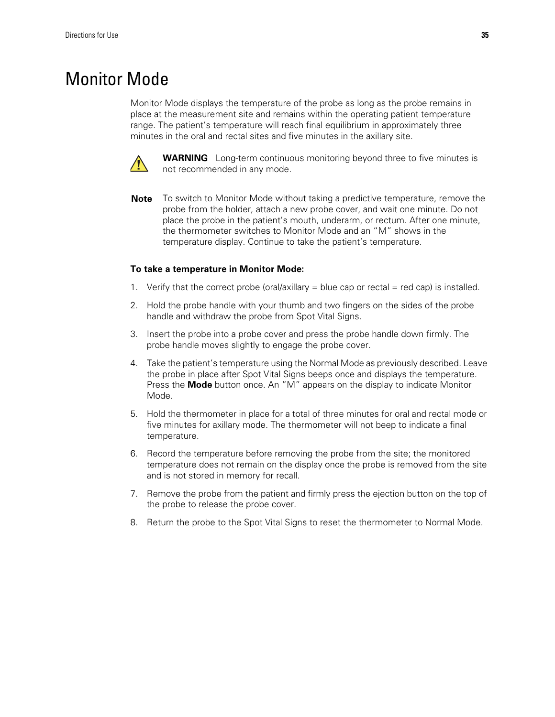### Monitor Mode

Monitor Mode displays the temperature of the probe as long as the probe remains in place at the measurement site and remains within the operating patient temperature range. The patient's temperature will reach final equilibrium in approximately three minutes in the oral and rectal sites and five minutes in the axillary site.



**WARNING** Long-term continuous monitoring beyond three to five minutes is not recommended in any mode.

**Note** To switch to Monitor Mode without taking a predictive temperature, remove the probe from the holder, attach a new probe cover, and wait one minute. Do not place the probe in the patient's mouth, underarm, or rectum. After one minute, the thermometer switches to Monitor Mode and an "M" shows in the temperature display. Continue to take the patient's temperature.

#### **To take a temperature in Monitor Mode:**

- 1. Verify that the correct probe (oral/axillary  $=$  blue cap or rectal  $=$  red cap) is installed.
- 2. Hold the probe handle with your thumb and two fingers on the sides of the probe handle and withdraw the probe from Spot Vital Signs.
- 3. Insert the probe into a probe cover and press the probe handle down firmly. The probe handle moves slightly to engage the probe cover.
- 4. Take the patient's temperature using the Normal Mode as previously described. Leave the probe in place after Spot Vital Signs beeps once and displays the temperature. Press the **Mode** button once. An "M" appears on the display to indicate Monitor Mode.
- 5. Hold the thermometer in place for a total of three minutes for oral and rectal mode or five minutes for axillary mode. The thermometer will not beep to indicate a final temperature.
- 6. Record the temperature before removing the probe from the site; the monitored temperature does not remain on the display once the probe is removed from the site and is not stored in memory for recall.
- 7. Remove the probe from the patient and firmly press the ejection button on the top of the probe to release the probe cover.
- 8. Return the probe to the Spot Vital Signs to reset the thermometer to Normal Mode.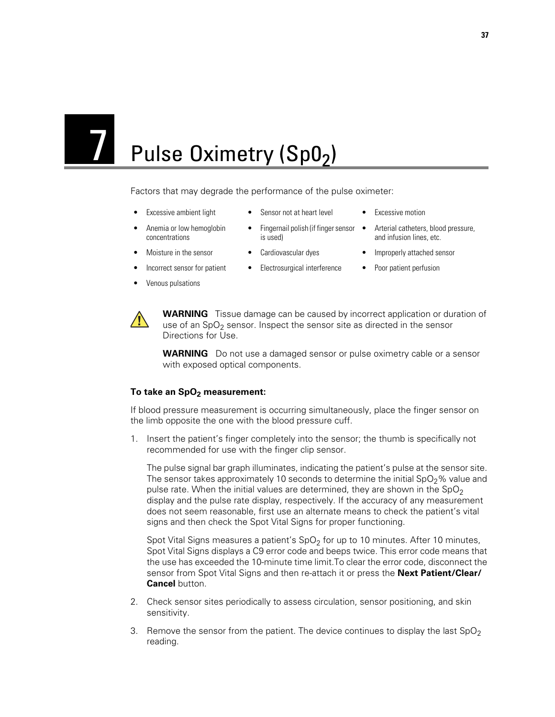7

# Pulse Oximetry (Sp02)

Factors that may degrade the performance of the pulse oximeter:

- Excessive ambient light Sensor not at heart level Excessive motion
	-
- Anemia or low hemoglobin concentrations
- 
- 
- Venous pulsations
- Fingernail polish (if finger sensor
	- is used)
- 
- Incorrect sensor for patient Electrosurgical interference Poor patient perfusion
- 
- Arterial catheters, blood pressure, and infusion lines, etc.
- Moisture in the sensor Cardiovascular dyes Improperly attached sensor
	-



**WARNING** Tissue damage can be caused by incorrect application or duration of use of an  $SpO<sub>2</sub>$  sensor. Inspect the sensor site as directed in the sensor Directions for Use.

**WARNING** Do not use a damaged sensor or pulse oximetry cable or a sensor with exposed optical components.

#### To take an SpO<sub>2</sub> measurement:

If blood pressure measurement is occurring simultaneously, place the finger sensor on the limb opposite the one with the blood pressure cuff.

1. Insert the patient's finger completely into the sensor; the thumb is specifically not recommended for use with the finger clip sensor.

The pulse signal bar graph illuminates, indicating the patient's pulse at the sensor site. The sensor takes approximately 10 seconds to determine the initial  $SpO_2$ % value and pulse rate. When the initial values are determined, they are shown in the  $SpO<sub>2</sub>$ display and the pulse rate display, respectively. If the accuracy of any measurement does not seem reasonable, first use an alternate means to check the patient's vital signs and then check the Spot Vital Signs for proper functioning.

Spot Vital Signs measures a patient's  $SpO<sub>2</sub>$  for up to 10 minutes. After 10 minutes, Spot Vital Signs displays a C9 error code and beeps twice. This error code means that the use has exceeded the 10-minute time limit.To clear the error code, disconnect the sensor from Spot Vital Signs and then re-attach it or press the **Next Patient/Clear/ Cancel** button.

- 2. Check sensor sites periodically to assess circulation, sensor positioning, and skin sensitivity.
- 3. Remove the sensor from the patient. The device continues to display the last  $SpO<sub>2</sub>$ reading.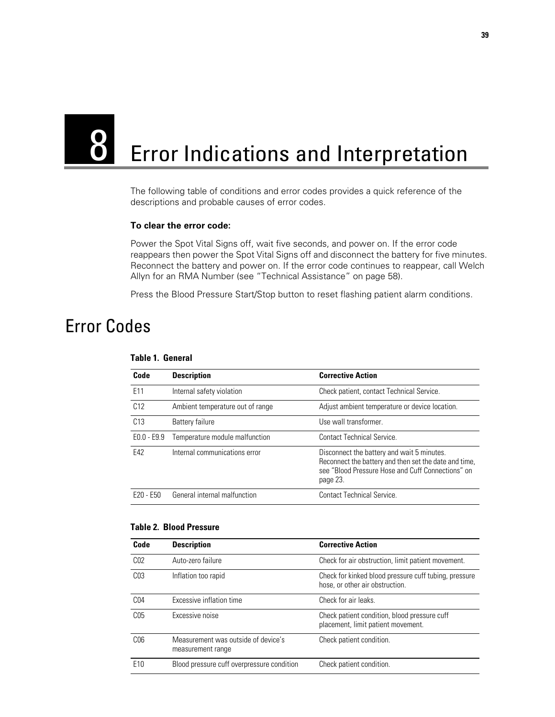8

# Error Indications and Interpretation

The following table of conditions and error codes provides a quick reference of the descriptions and probable causes of error codes.

#### **To clear the error code:**

Power the Spot Vital Signs off, wait five seconds, and power on. If the error code reappears then power the Spot Vital Signs off and disconnect the battery for five minutes. Reconnect the battery and power on. If the error code continues to reappear, call Welch Allyn for an RMA Number (see ["Technical Assistance" on page 58](#page-63-0)).

Press the Blood Pressure Start/Stop button to reset flashing patient alarm conditions.

### Error Codes

| Code          | <b>Description</b>               | <b>Corrective Action</b>                                                                                                                                             |
|---------------|----------------------------------|----------------------------------------------------------------------------------------------------------------------------------------------------------------------|
| E11           | Internal safety violation        | Check patient, contact Technical Service.                                                                                                                            |
| C12           | Ambient temperature out of range | Adjust ambient temperature or device location.                                                                                                                       |
| C13           | <b>Battery failure</b>           | Use wall transformer.                                                                                                                                                |
| $E0.0 - E9.9$ | Temperature module malfunction   | <b>Contact Technical Service.</b>                                                                                                                                    |
| F42           | Internal communications error    | Disconnect the battery and wait 5 minutes.<br>Reconnect the battery and then set the date and time,<br>see "Blood Pressure Hose and Cuff Connections" on<br>page 23. |
| $F20 - F50$   | General internal malfunction     | <b>Contact Technical Service.</b>                                                                                                                                    |

#### **Table 1. General**

#### **Table 2. Blood Pressure**

| Code            | <b>Description</b>                                       | <b>Corrective Action</b>                                                                 |
|-----------------|----------------------------------------------------------|------------------------------------------------------------------------------------------|
| C <sub>02</sub> | Auto-zero failure                                        | Check for air obstruction, limit patient movement.                                       |
| C <sub>03</sub> | Inflation too rapid                                      | Check for kinked blood pressure cuff tubing, pressure<br>hose, or other air obstruction. |
| C <sub>04</sub> | Excessive inflation time                                 | Check for air leaks                                                                      |
| C <sub>05</sub> | Excessive noise                                          | Check patient condition, blood pressure cuff<br>placement, limit patient movement.       |
| C <sub>06</sub> | Measurement was outside of device's<br>measurement range | Check patient condition.                                                                 |
| E <sub>10</sub> | Blood pressure cuff overpressure condition               | Check patient condition.                                                                 |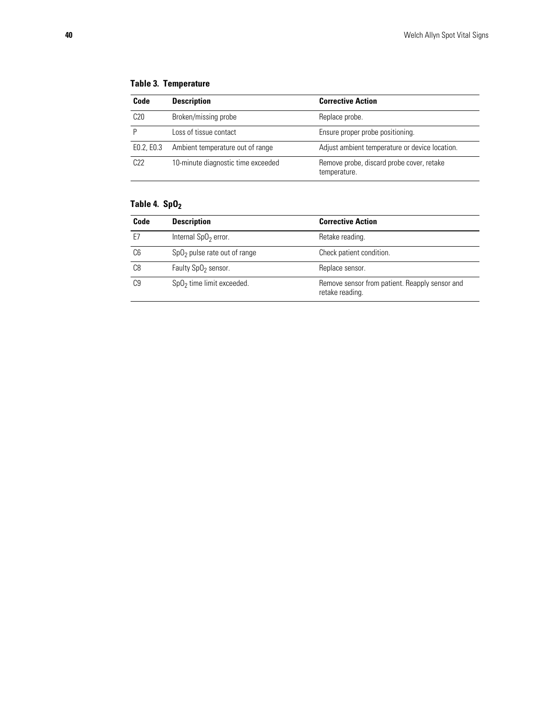| Code       | <b>Description</b>                 | <b>Corrective Action</b>                                  |
|------------|------------------------------------|-----------------------------------------------------------|
| C20        | Broken/missing probe               | Replace probe.                                            |
|            | Loss of tissue contact             | Ensure proper probe positioning.                          |
| E0.2, E0.3 | Ambient temperature out of range   | Adjust ambient temperature or device location.            |
| C22        | 10-minute diagnostic time exceeded | Remove probe, discard probe cover, retake<br>temperature. |

#### **Table 3. Temperature**

#### **Table 4. SpO<sub>2</sub>**

| Code | <b>Description</b>             | <b>Corrective Action</b>                                          |
|------|--------------------------------|-------------------------------------------------------------------|
| E7   | Internal $Sp02$ error.         | Retake reading.                                                   |
| C6   | $SpO2$ pulse rate out of range | Check patient condition.                                          |
| C8   | Faulty $SpO2$ sensor.          | Replace sensor.                                                   |
| C9   | $SpO2$ time limit exceeded.    | Remove sensor from patient. Reapply sensor and<br>retake reading. |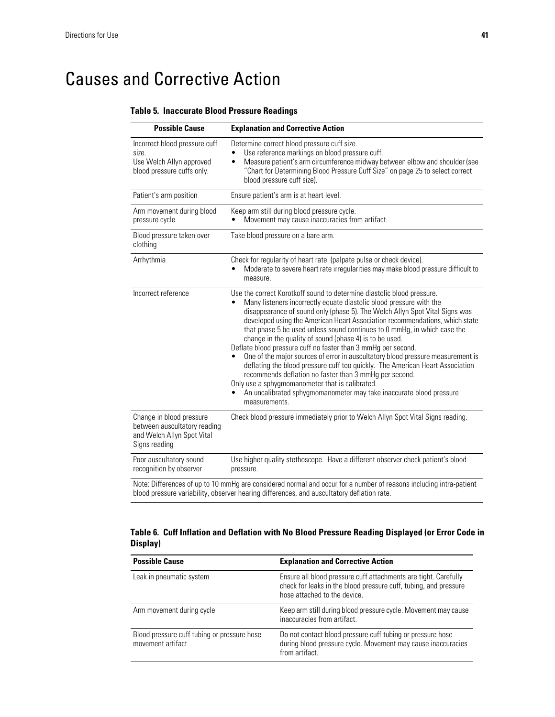### Causes and Corrective Action

#### **Table 5. Inaccurate Blood Pressure Readings**

| <b>Possible Cause</b>                                                                                   | <b>Explanation and Corrective Action</b>                                                                                                                                                                                                                                                                                                                                                                                                                                                                                                                                                                                                                                                                                                                                                                                                                                                     |
|---------------------------------------------------------------------------------------------------------|----------------------------------------------------------------------------------------------------------------------------------------------------------------------------------------------------------------------------------------------------------------------------------------------------------------------------------------------------------------------------------------------------------------------------------------------------------------------------------------------------------------------------------------------------------------------------------------------------------------------------------------------------------------------------------------------------------------------------------------------------------------------------------------------------------------------------------------------------------------------------------------------|
| Incorrect blood pressure cuff<br>size.<br>Use Welch Allyn approved<br>blood pressure cuffs only.        | Determine correct blood pressure cuff size.<br>Use reference markings on blood pressure cuff.<br>Measure patient's arm circumference midway between elbow and shoulder (see<br>"Chart for Determining Blood Pressure Cuff Size" on page 25 to select correct<br>blood pressure cuff size).                                                                                                                                                                                                                                                                                                                                                                                                                                                                                                                                                                                                   |
| Patient's arm position                                                                                  | Ensure patient's arm is at heart level.                                                                                                                                                                                                                                                                                                                                                                                                                                                                                                                                                                                                                                                                                                                                                                                                                                                      |
| Arm movement during blood<br>pressure cycle                                                             | Keep arm still during blood pressure cycle.<br>Movement may cause inaccuracies from artifact.                                                                                                                                                                                                                                                                                                                                                                                                                                                                                                                                                                                                                                                                                                                                                                                                |
| Blood pressure taken over<br>clothing                                                                   | Take blood pressure on a bare arm.                                                                                                                                                                                                                                                                                                                                                                                                                                                                                                                                                                                                                                                                                                                                                                                                                                                           |
| Arrhythmia                                                                                              | Check for regularity of heart rate (palpate pulse or check device).<br>Moderate to severe heart rate irregularities may make blood pressure difficult to<br>measure.                                                                                                                                                                                                                                                                                                                                                                                                                                                                                                                                                                                                                                                                                                                         |
| Incorrect reference                                                                                     | Use the correct Korotkoff sound to determine diastolic blood pressure.<br>Many listeners incorrectly equate diastolic blood pressure with the<br>disappearance of sound only (phase 5). The Welch Allyn Spot Vital Signs was<br>developed using the American Heart Association recommendations, which state<br>that phase 5 be used unless sound continues to 0 mmHg, in which case the<br>change in the quality of sound (phase 4) is to be used.<br>Deflate blood pressure cuff no faster than 3 mmHg per second.<br>One of the major sources of error in auscultatory blood pressure measurement is<br>deflating the blood pressure cuff too quickly. The American Heart Association<br>recommends deflation no faster than 3 mmHg per second.<br>Only use a sphygmomanometer that is calibrated.<br>An uncalibrated sphygmomanometer may take inaccurate blood pressure<br>measurements. |
| Change in blood pressure<br>between auscultatory reading<br>and Welch Allyn Spot Vital<br>Signs reading | Check blood pressure immediately prior to Welch Allyn Spot Vital Signs reading.                                                                                                                                                                                                                                                                                                                                                                                                                                                                                                                                                                                                                                                                                                                                                                                                              |
| Poor auscultatory sound<br>recognition by observer<br>$N_{\text{max}}$ $N_{\text{max}}$                 | Use higher quality stethoscope. Have a different observer check patient's blood<br>pressure.                                                                                                                                                                                                                                                                                                                                                                                                                                                                                                                                                                                                                                                                                                                                                                                                 |

Note: Differences of up to 10 mmHg are considered normal and occur for a number of reasons including intra-patient blood pressure variability, observer hearing differences, and auscultatory deflation rate.

#### **Table 6. Cuff Inflation and Deflation with No Blood Pressure Reading Displayed (or Error Code in Display)**

| <b>Possible Cause</b>                                            | <b>Explanation and Corrective Action</b>                                                                                                                            |
|------------------------------------------------------------------|---------------------------------------------------------------------------------------------------------------------------------------------------------------------|
| Leak in pneumatic system                                         | Ensure all blood pressure cuff attachments are tight. Carefully<br>check for leaks in the blood pressure cuff, tubing, and pressure<br>hose attached to the device. |
| Arm movement during cycle                                        | Keep arm still during blood pressure cycle. Movement may cause<br>inaccuracies from artifact.                                                                       |
| Blood pressure cuff tubing or pressure hose<br>movement artifact | Do not contact blood pressure cuff tubing or pressure hose<br>during blood pressure cycle. Movement may cause inaccuracies<br>from artifact.                        |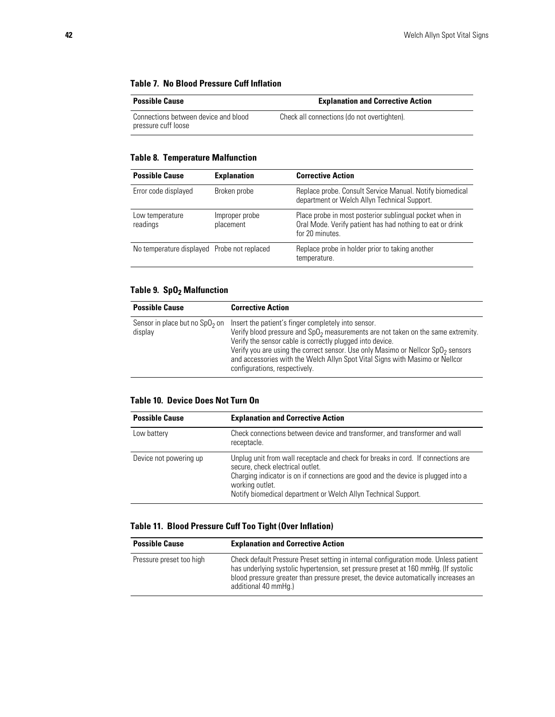#### **Table 7. No Blood Pressure Cuff Inflation**

| <b>Possible Cause</b>                                       | <b>Explanation and Corrective Action</b>    |
|-------------------------------------------------------------|---------------------------------------------|
| Connections between device and blood<br>pressure cuff loose | Check all connections (do not overtighten). |

#### **Table 8. Temperature Malfunction**

| <b>Possible Cause</b>                       | <b>Explanation</b>          | <b>Corrective Action</b>                                                                                                               |
|---------------------------------------------|-----------------------------|----------------------------------------------------------------------------------------------------------------------------------------|
| Error code displayed                        | Broken probe                | Replace probe. Consult Service Manual. Notify biomedical<br>department or Welch Allyn Technical Support.                               |
| Low temperature<br>readings                 | Improper probe<br>placement | Place probe in most posterior sublingual pocket when in<br>Oral Mode. Verify patient has had nothing to eat or drink<br>for 20 minutes |
| No temperature displayed Probe not replaced |                             | Replace probe in holder prior to taking another<br>temperature.                                                                        |

#### **Table 9. SpO<sub>2</sub> Malfunction**

| <b>Possible Cause</b>                       | <b>Corrective Action</b>                                                                                                                                                                                                                                                                                                                                                                                                |
|---------------------------------------------|-------------------------------------------------------------------------------------------------------------------------------------------------------------------------------------------------------------------------------------------------------------------------------------------------------------------------------------------------------------------------------------------------------------------------|
| Sensor in place but no $SpO2$ on<br>display | Insert the patient's finger completely into sensor.<br>Verify blood pressure and $SpO2$ measurements are not taken on the same extremity.<br>Verify the sensor cable is correctly plugged into device.<br>Verify you are using the correct sensor. Use only Masimo or Nellcor SpO <sub>2</sub> sensors<br>and accessories with the Welch Allyn Spot Vital Signs with Masimo or Nellcor<br>configurations, respectively. |

#### **Table 10. Device Does Not Turn On**

| <b>Possible Cause</b>  | <b>Explanation and Corrective Action</b>                                                                                                                                                                                                                                                        |  |
|------------------------|-------------------------------------------------------------------------------------------------------------------------------------------------------------------------------------------------------------------------------------------------------------------------------------------------|--|
| Low battery            | Check connections between device and transformer, and transformer and wall<br>receptacle.                                                                                                                                                                                                       |  |
| Device not powering up | Unplug unit from wall receptacle and check for breaks in cord. If connections are<br>secure, check electrical outlet.<br>Charging indicator is on if connections are good and the device is plugged into a<br>working outlet.<br>Notify biomedical department or Welch Allyn Technical Support. |  |

#### **Table 11. Blood Pressure Cuff Too Tight (Over Inflation)**

| <b>Possible Cause</b>    | <b>Explanation and Corrective Action</b>                                                                                                                                                                                                                                                  |
|--------------------------|-------------------------------------------------------------------------------------------------------------------------------------------------------------------------------------------------------------------------------------------------------------------------------------------|
| Pressure preset too high | Check default Pressure Preset setting in internal configuration mode. Unless patient<br>has underlying systolic hypertension, set pressure preset at 160 mmHg. (If systolic<br>blood pressure greater than pressure preset, the device automatically increases an<br>additional 40 mmHq.) |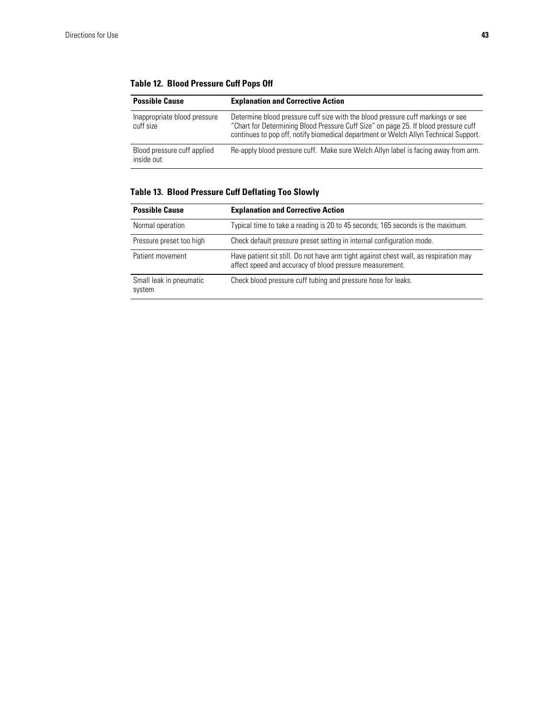| <b>Possible Cause</b>                     | <b>Explanation and Corrective Action</b>                                                                                                                                                                                                                       |
|-------------------------------------------|----------------------------------------------------------------------------------------------------------------------------------------------------------------------------------------------------------------------------------------------------------------|
| Inappropriate blood pressure<br>cuff size | Determine blood pressure cuff size with the blood pressure cuff markings or see<br>"Chart for Determining Blood Pressure Cuff Size" on page 25. If blood pressure cuff<br>continues to pop off, notify biomedical department or Welch Allyn Technical Support. |
| Blood pressure cuff applied<br>inside out | Re-apply blood pressure cuff. Make sure Welch Allyn label is facing away from arm.                                                                                                                                                                             |

**Table 12. Blood Pressure Cuff Pops Off**

#### **Table 13. Blood Pressure Cuff Deflating Too Slowly**

| <b>Possible Cause</b>             | <b>Explanation and Corrective Action</b>                                                                                                         |
|-----------------------------------|--------------------------------------------------------------------------------------------------------------------------------------------------|
| Normal operation                  | Typical time to take a reading is 20 to 45 seconds; 165 seconds is the maximum.                                                                  |
| Pressure preset too high          | Check default pressure preset setting in internal configuration mode.                                                                            |
| Patient movement                  | Have patient sit still. Do not have arm tight against chest wall, as respiration may<br>affect speed and accuracy of blood pressure measurement. |
| Small leak in pneumatic<br>system | Check blood pressure cuff tubing and pressure hose for leaks.                                                                                    |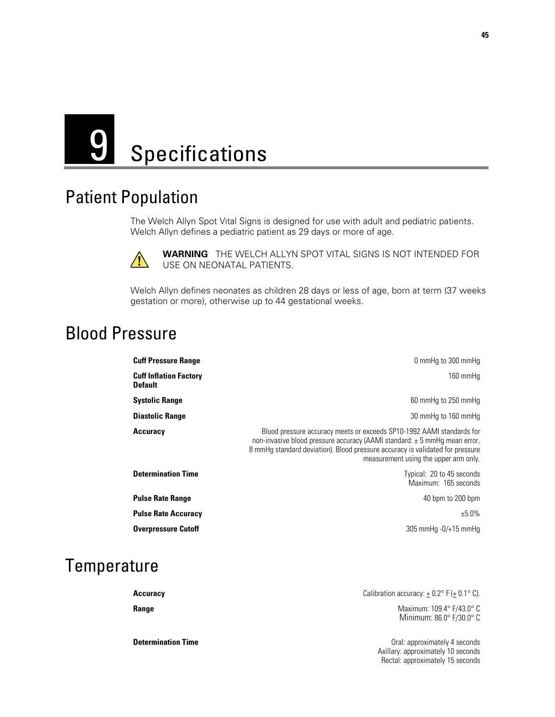## 9 Specifications

### Patient Population

The Welch Allyn Spot Vital Signs is designed for use with adult and pediatric patients. Welch Allyn defines a pediatric patient as 29 days or more of age.



**WARNING** THE WELCH ALLYN SPOT VITAL SIGNS IS NOT INTENDED FOR USE ON NEONATAL PATIENTS.

Welch Allyn defines neonates as children 28 days or less of age, born at term (37 weeks gestation or more), otherwise up to 44 gestational weeks.

### Blood Pressure

| <b>Cuff Pressure Range</b>               | 0 mmHq to 300 mmHq                                                                                                                                                                                                                                                          |
|------------------------------------------|-----------------------------------------------------------------------------------------------------------------------------------------------------------------------------------------------------------------------------------------------------------------------------|
| <b>Cuff Inflation Factory</b><br>Default | 160 mmHq                                                                                                                                                                                                                                                                    |
| <b>Systolic Range</b>                    | 60 mmHq to 250 mmHq                                                                                                                                                                                                                                                         |
| <b>Diastolic Range</b>                   | 30 mmHg to 160 mmHg                                                                                                                                                                                                                                                         |
| Accuracy                                 | Blood pressure accuracy meets or exceeds SP10-1992 AAMI standards for<br>non-invasive blood pressure accuracy (AAMI standard: ±5 mmHg mean error,<br>8 mmHg standard deviation). Blood pressure accuracy is validated for pressure<br>measurement using the upper arm only. |
| <b>Determination Time</b>                | Typical: 20 to 45 seconds<br>Maximum: 165 seconds                                                                                                                                                                                                                           |
| <b>Pulse Rate Range</b>                  | 40 bpm to 200 bpm                                                                                                                                                                                                                                                           |
| <b>Pulse Rate Accuracy</b>               | ±5.0%                                                                                                                                                                                                                                                                       |
| <b>Overpressure Cutoff</b>               | 305 mmHg -0/+15 mmHg                                                                                                                                                                                                                                                        |

### **Temperature**

**Accuracy** Calibration accuracy:  $\pm$  0.2° F ( $\pm$  0.1° C).

**Range** Maximum: 109.4° F/43.0° C Minimum: 86.0° F/30.0° C

**Determination Time Determination Time Determination Time Calculate Seconds** Axillary: approximately 10 seconds Rectal: approximately 15 seconds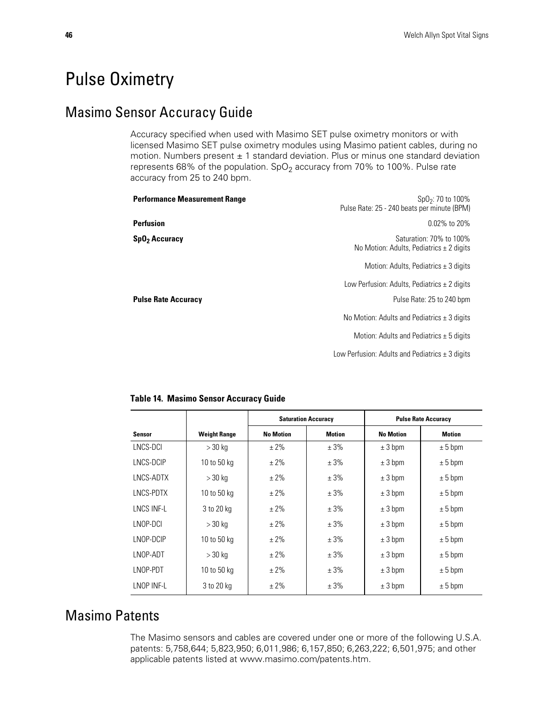### Pulse Oximetry

### Masimo Sensor Accuracy Guide

Accuracy specified when used with Masimo SET pulse oximetry monitors or with licensed Masimo SET pulse oximetry modules using Masimo patient cables, during no motion. Numbers present  $\pm 1$  standard deviation. Plus or minus one standard deviation represents 68% of the population.  $SpO<sub>2</sub>$  accuracy from 70% to 100%. Pulse rate accuracy from 25 to 240 bpm.

| <b>Performance Measurement Range</b> | $SpO2: 70$ to 100%<br>Pulse Rate: 25 - 240 beats per minute (BPM)       |
|--------------------------------------|-------------------------------------------------------------------------|
| <b>Perfusion</b>                     | 0.02% to 20%                                                            |
| SpO <sub>2</sub> Accuracy            | Saturation: 70% to 100%<br>No Motion: Adults, Pediatrics $\pm 2$ digits |
|                                      | Motion: Adults, Pediatrics ± 3 digits                                   |
|                                      | Low Perfusion: Adults, Pediatrics $\pm$ 2 digits                        |
| <b>Pulse Rate Accuracy</b>           | Pulse Rate: 25 to 240 bpm                                               |
|                                      | No Motion: Adults and Pediatrics $\pm$ 3 digits                         |
|                                      | Motion: Adults and Pediatrics $\pm$ 5 digits                            |
|                                      | Low Perfusion: Adults and Pediatrics $\pm$ 3 digits                     |

|               |                     |                  | <b>Saturation Accuracy</b> |                  | <b>Pulse Rate Accuracy</b> |
|---------------|---------------------|------------------|----------------------------|------------------|----------------------------|
| <b>Sensor</b> | <b>Weight Range</b> | <b>No Motion</b> | <b>Motion</b>              | <b>No Motion</b> | <b>Motion</b>              |
| LNCS-DCI      | $>30$ kg            | $± 2\%$          | ± 3%                       | $\pm$ 3 bpm      | $± 5$ bpm                  |
| LNCS-DCIP     | 10 to 50 kg         | $± 2\%$          | $± 3\%$                    | $± 3$ bpm        | $± 5$ bpm                  |
| LNCS-ADTX     | $>30$ kg            | $± 2\%$          | $± 3\%$                    | $\pm 3$ bpm      | $± 5$ bpm                  |
| LNCS-PDTX     | 10 to 50 kg         | $± 2\%$          | ± 3%                       | $± 3$ bpm        | $± 5$ bpm                  |
| LNCS INF-L    | 3 to 20 kg          | $± 2\%$          | ± 3%                       | $± 3$ bpm        | $± 5$ bpm                  |
| LNOP-DCI      | $>30$ kg            | $± 2\%$          | $± 3\%$                    | $\pm$ 3 bpm      | $± 5$ bpm                  |
| LNOP-DCIP     | 10 to 50 kg         | $± 2\%$          | $± 3\%$                    | $\pm 3$ bpm      | $± 5$ bpm                  |
| LNOP-ADT      | $>30$ kg            | $± 2\%$          | ± 3%                       | $± 3$ bpm        | $± 5$ bpm                  |
| LNOP-PDT      | 10 to 50 kg         | $± 2\%$          | ± 3%                       | $\pm 3$ bpm      | $± 5$ bpm                  |
| LNOP INF-L    | 3 to 20 kg          | $± 2\%$          | ± 3%                       | $\pm 3$ bpm      | $± 5$ bpm                  |

#### **Table 14. Masimo Sensor Accuracy Guide**

### Masimo Patents

The Masimo sensors and cables are covered under one or more of the following U.S.A. patents: 5,758,644; 5,823,950; 6,011,986; 6,157,850; 6,263,222; 6,501,975; and other applicable patents listed at www.masimo.com/patents.htm.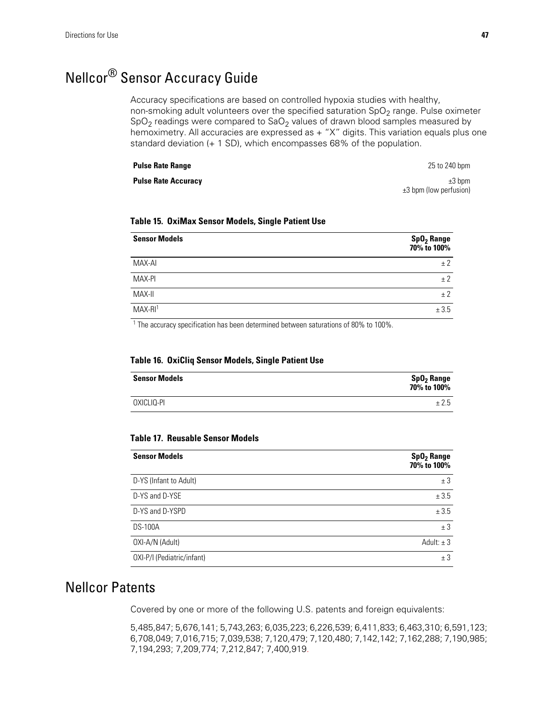### Nellcor® Sensor Accuracy Guide

Accuracy specifications are based on controlled hypoxia studies with healthy, non-smoking adult volunteers over the specified saturation  $SpO<sub>2</sub>$  range. Pulse oximeter  $SpO<sub>2</sub>$  readings were compared to SaO<sub>2</sub> values of drawn blood samples measured by hemoximetry. All accuracies are expressed as + "X" digits. This variation equals plus one standard deviation (+ 1 SD), which encompasses 68% of the population.

| 25 to 240 bpm                              |
|--------------------------------------------|
| $\pm 3$ bpm<br>$\pm 3$ bpm (low perfusion) |
|                                            |

| <b>Sensor Models</b> | SpO <sub>2</sub> Range<br>70% to 100% |
|----------------------|---------------------------------------|
| MAX-AI               | ± 2                                   |
| MAX-PI               | ± 2                                   |
| MAX-II               | ± 2                                   |
| MAX-RI <sup>1</sup>  | ± 3.5                                 |

#### **Table 15. OxiMax Sensor Models, Single Patient Use**

<sup>1</sup> The accuracy specification has been determined between saturations of 80% to 100%.

#### **Table 16. OxiCliq Sensor Models, Single Patient Use**

| <b>Sensor Models</b> | SpO <sub>2</sub> Range<br>70% to 100% |
|----------------------|---------------------------------------|
| OXICLIQ-PI           | ± 2.5                                 |

#### **Table 17. Reusable Sensor Models**

| Sensor Models              | SpO <sub>2</sub> Range<br>70% to 100% |
|----------------------------|---------------------------------------|
| D-YS (Infant to Adult)     | ± 3                                   |
| D-YS and D-YSE             | ± 3.5                                 |
| D-YS and D-YSPD            | ± 3.5                                 |
| <b>DS-100A</b>             | ± 3                                   |
| OXI-A/N (Adult)            | Adult: $\pm$ 3                        |
| OXI-P/I (Pediatric/infant) | ± 3                                   |

### Nellcor Patents

Covered by one or more of the following U.S. patents and foreign equivalents:

5,485,847; 5,676,141; 5,743,263; 6,035,223; 6,226,539; 6,411,833; 6,463,310; 6,591,123; 6,708,049; 7,016,715; 7,039,538; 7,120,479; 7,120,480; 7,142,142; 7,162,288; 7,190,985; 7,194,293; 7,209,774; 7,212,847; 7,400,919.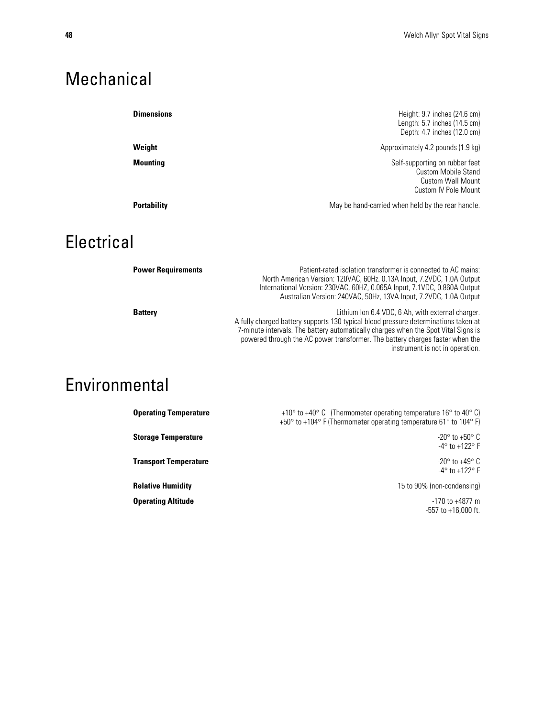### Mechanical

| <b>Dimensions</b>  | Height: 9.7 inches (24.6 cm)<br>Length: 5.7 inches (14.5 cm)<br>Depth: 4.7 inches (12.0 cm)        |
|--------------------|----------------------------------------------------------------------------------------------------|
| Weight             | Approximately 4.2 pounds (1.9 kg)                                                                  |
| <b>Mounting</b>    | Self-supporting on rubber feet<br>Custom Mobile Stand<br>Custom Wall Mount<br>Custom IV Pole Mount |
| <b>Portability</b> | May be hand-carried when held by the rear handle.                                                  |

### **Electrical**

| <b>Power Requirements</b> | Patient-rated isolation transformer is connected to AC mains:<br>North American Version: 120VAC, 60Hz. 0.13A Input, 7.2VDC, 1.0A Output<br>International Version: 230VAC, 60HZ, 0.065A Input, 7.1VDC, 0.860A Output<br>Australian Version: 240VAC, 50Hz, 13VA Input, 7.2VDC, 1.0A Output                                                           |
|---------------------------|----------------------------------------------------------------------------------------------------------------------------------------------------------------------------------------------------------------------------------------------------------------------------------------------------------------------------------------------------|
| <b>Battery</b>            | Lithium Ion 6.4 VDC, 6 Ah, with external charger.<br>A fully charged battery supports 130 typical blood pressure determinations taken at<br>7-minute intervals. The battery automatically charges when the Spot Vital Signs is<br>powered through the AC power transformer. The battery charges faster when the<br>instrument is not in operation. |

### Environmental

| <b>Operating Temperature</b> | +10 $\degree$ to +40 $\degree$ C (Thermometer operating temperature 16 $\degree$ to 40 $\degree$ C)<br>+50 $\degree$ to +104 $\degree$ F (Thermometer operating temperature 61 $\degree$ to 104 $\degree$ F) |
|------------------------------|--------------------------------------------------------------------------------------------------------------------------------------------------------------------------------------------------------------|
| <b>Storage Temperature</b>   | $-20^\circ$ to $+50^\circ$ C<br>$-4^{\circ}$ to $+122^{\circ}$ F                                                                                                                                             |
| <b>Transport Temperature</b> | $-20^\circ$ to $+49^\circ$ C<br>$-4^{\circ}$ to $+122^{\circ}$ F                                                                                                                                             |
| <b>Relative Humidity</b>     | 15 to 90% (non-condensing)                                                                                                                                                                                   |
| <b>Operating Altitude</b>    | $-170$ to $+4877$ m<br>$-557$ to $+16.000$ ft.                                                                                                                                                               |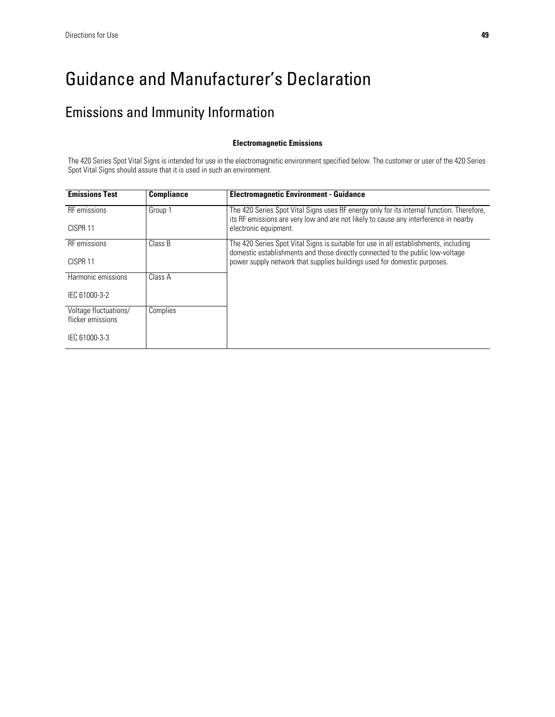### Guidance and Manufacturer's Declaration

### Emissions and Immunity Information

#### **Electromagnetic Emissions**

The 420 Series Spot Vital Signs is intended for use in the electromagnetic environment specified below. The customer or user of the 420 Series Spot Vital Signs should assure that it is used in such an environment.

| <b>Emissions Test</b>                      | <b>Compliance</b> | <b>Electromagnetic Environment - Guidance</b>                                                                                                                                     |
|--------------------------------------------|-------------------|-----------------------------------------------------------------------------------------------------------------------------------------------------------------------------------|
| <b>RF</b> emissions                        | Group 1           | The 420 Series Spot Vital Signs uses RF energy only for its internal function. Therefore,<br>its RF emissions are very low and are not likely to cause any interference in nearby |
| CISPR <sub>11</sub>                        |                   | electronic equipment.                                                                                                                                                             |
| <b>RF</b> emissions                        | Class B           | The 420 Series Spot Vital Signs is suitable for use in all establishments, including<br>domestic establishments and those directly connected to the public low-voltage            |
| CISPR <sub>11</sub>                        |                   | power supply network that supplies buildings used for domestic purposes.                                                                                                          |
| Harmonic emissions                         | Class A           |                                                                                                                                                                                   |
| IEC 61000-3-2                              |                   |                                                                                                                                                                                   |
| Voltage fluctuations/<br>flicker emissions | Complies          |                                                                                                                                                                                   |
| IEC 61000-3-3                              |                   |                                                                                                                                                                                   |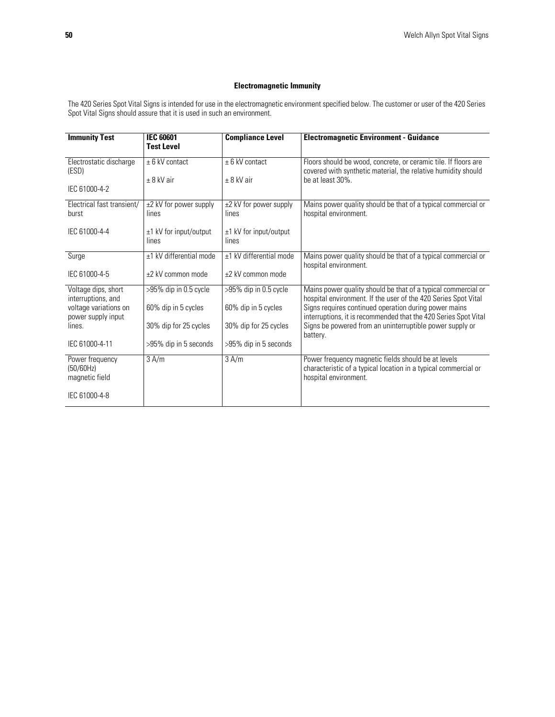#### **Electromagnetic Immunity**

The 420 Series Spot Vital Signs is intended for use in the electromagnetic environment specified below. The customer or user of the 420 Series Spot Vital Signs should assure that it is used in such an environment.

| <b>Immunity Test</b>                           | <b>IEC 60601</b><br><b>Test Level</b> | <b>Compliance Level</b>          | <b>Electromagnetic Environment - Guidance</b>                                                                                                        |
|------------------------------------------------|---------------------------------------|----------------------------------|------------------------------------------------------------------------------------------------------------------------------------------------------|
| Electrostatic discharge<br>(ESD)               | $± 6$ kV contact<br>$± 8$ kV air      | $± 6$ kV contact<br>$± 8$ kV air | Floors should be wood, concrete, or ceramic tile. If floors are<br>covered with synthetic material, the relative humidity should<br>be at least 30%. |
| IEC 61000-4-2                                  |                                       |                                  |                                                                                                                                                      |
| Electrical fast transient/<br>burst            | $\pm 2$ kV for power supply<br>lines  | ±2 kV for power supply<br>lines  | Mains power quality should be that of a typical commercial or<br>hospital environment.                                                               |
| IEC 61000-4-4                                  | $±1$ kV for input/output<br>lines     | ±1 kV for input/output<br>lines  |                                                                                                                                                      |
| Surge                                          | ±1 kV differential mode               | ±1 kV differential mode          | Mains power quality should be that of a typical commercial or<br>hospital environment.                                                               |
| IEC 61000-4-5                                  | ±2 kV common mode                     | +2 kV common mode                |                                                                                                                                                      |
| Voltage dips, short<br>interruptions, and      | >95% dip in 0.5 cycle                 | >95% dip in 0.5 cycle            | Mains power quality should be that of a typical commercial or<br>hospital environment. If the user of the 420 Series Spot Vital                      |
| voltage variations on<br>power supply input    | 60% dip in 5 cycles                   | 60% dip in 5 cycles              | Signs requires continued operation during power mains<br>interruptions, it is recommended that the 420 Series Spot Vital                             |
| lines.                                         | 30% dip for 25 cycles                 | 30% dip for 25 cycles            | Signs be powered from an uninterruptible power supply or<br>battery.                                                                                 |
| IEC 61000-4-11                                 | >95% dip in 5 seconds                 | >95% dip in 5 seconds            |                                                                                                                                                      |
| Power frequency<br>(50/60Hz)<br>magnetic field | 3 A/m                                 | 3 A/m                            | Power frequency magnetic fields should be at levels<br>characteristic of a typical location in a typical commercial or<br>hospital environment.      |
| IEC 61000-4-8                                  |                                       |                                  |                                                                                                                                                      |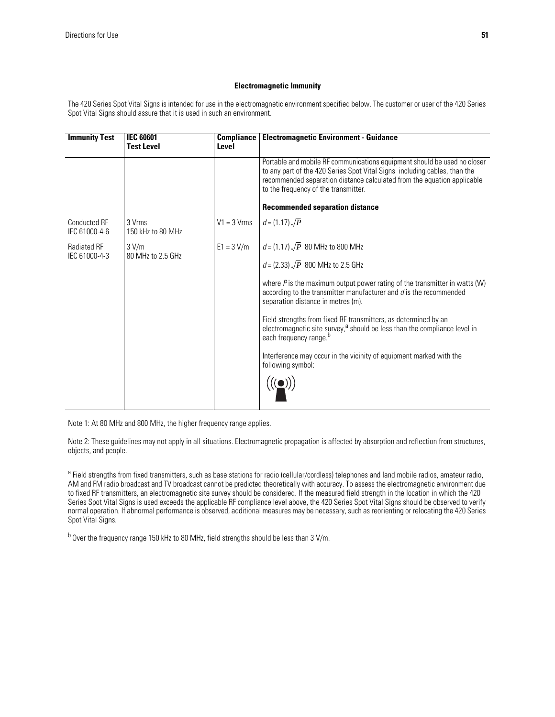#### **Electromagnetic Immunity**

The 420 Series Spot Vital Signs is intended for use in the electromagnetic environment specified below. The customer or user of the 420 Series Spot Vital Signs should assure that it is used in such an environment.

| <b>Immunity Test</b>                 | <b>IEC 60601</b><br><b>Test Level</b>                                                                                             | <b>Compliance</b><br>Level | <b>Electromagnetic Environment - Guidance</b>                                                                                                                                                                                                                            |
|--------------------------------------|-----------------------------------------------------------------------------------------------------------------------------------|----------------------------|--------------------------------------------------------------------------------------------------------------------------------------------------------------------------------------------------------------------------------------------------------------------------|
|                                      |                                                                                                                                   |                            | Portable and mobile RF communications equipment should be used no closer<br>to any part of the 420 Series Spot Vital Signs including cables, than the<br>recommended separation distance calculated from the equation applicable<br>to the frequency of the transmitter. |
|                                      |                                                                                                                                   |                            | <b>Recommended separation distance</b>                                                                                                                                                                                                                                   |
| <b>Conducted RF</b><br>IEC 61000-4-6 | 3 Vrms<br>150 kHz to 80 MHz                                                                                                       | $V1 = 3 Vrms$              | $d = (1.17) \sqrt{P}$                                                                                                                                                                                                                                                    |
| <b>Radiated RF</b><br>IEC 61000-4-3  | $d = (1.17) \sqrt{P}$ 80 MHz to 800 MHz<br>$E1 = 3 V/m$<br>3 V/m<br>80 MHz to 2.5 GHz<br>$d = (2.33) \sqrt{P}$ 800 MHz to 2.5 GHz |                            |                                                                                                                                                                                                                                                                          |
|                                      |                                                                                                                                   |                            | where $P$ is the maximum output power rating of the transmitter in watts (W)<br>according to the transmitter manufacturer and $d$ is the recommended<br>separation distance in metres (m).                                                                               |
|                                      |                                                                                                                                   |                            | Field strengths from fixed RF transmitters, as determined by an<br>electromagnetic site survey, <sup>a</sup> should be less than the compliance level in<br>each frequency range. <sup>b</sup>                                                                           |
|                                      |                                                                                                                                   |                            | Interference may occur in the vicinity of equipment marked with the<br>following symbol:                                                                                                                                                                                 |
|                                      |                                                                                                                                   |                            | $\big((\underline{\bullet})\big)$                                                                                                                                                                                                                                        |

Note 1: At 80 MHz and 800 MHz, the higher frequency range applies.

Note 2: These guidelines may not apply in all situations. Electromagnetic propagation is affected by absorption and reflection from structures, objects, and people.

<sup>a</sup> Field strengths from fixed transmitters, such as base stations for radio (cellular/cordless) telephones and land mobile radios, amateur radio, AM and FM radio broadcast and TV broadcast cannot be predicted theoretically with accuracy. To assess the electromagnetic environment due to fixed RF transmitters, an electromagnetic site survey should be considered. If the measured field strength in the location in which the 420 Series Spot Vital Signs is used exceeds the applicable RF compliance level above, the 420 Series Spot Vital Signs should be observed to verify normal operation. If abnormal performance is observed, additional measures may be necessary, such as reorienting or relocating the 420 Series Spot Vital Signs.

b Over the frequency range 150 kHz to 80 MHz, field strengths should be less than 3 V/m.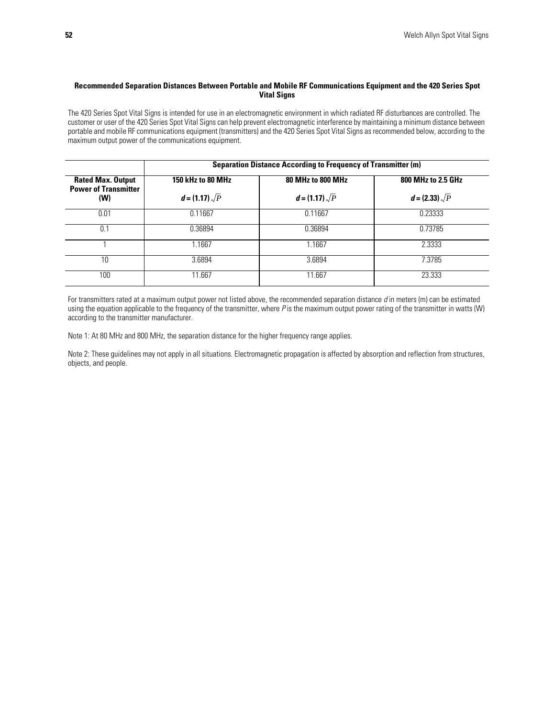#### **Recommended Separation Distances Between Portable and Mobile RF Communications Equipment and the 420 Series Spot Vital Signs**

The 420 Series Spot Vital Signs is intended for use in an electromagnetic environment in which radiated RF disturbances are controlled. The customer or user of the 420 Series Spot Vital Signs can help prevent electromagnetic interference by maintaining a minimum distance between portable and mobile RF communications equipment (transmitters) and the 420 Series Spot Vital Signs as recommended below, according to the maximum output power of the communications equipment.

|                                                         | <b>Separation Distance According to Frequency of Transmitter (m)</b> |                       |                       |  |
|---------------------------------------------------------|----------------------------------------------------------------------|-----------------------|-----------------------|--|
| <b>Rated Max. Output</b><br><b>Power of Transmitter</b> | 150 kHz to 80 MHz                                                    | 80 MHz to 800 MHz     | 800 MHz to 2.5 GHz    |  |
| (W)                                                     | $d = (1.17) \sqrt{P}$                                                | $d = (1.17) \sqrt{P}$ | $d = (2.33) \sqrt{P}$ |  |
| $0.01\,$                                                | 0.11667                                                              | 0.11667               | 0.23333               |  |
| 0.1                                                     | 0.36894                                                              | 0.36894               | 0.73785               |  |
|                                                         | .1667                                                                | 1.1667                | 2.3333                |  |
| 10                                                      | 3.6894                                                               | 3.6894                | 7.3785                |  |
| 100                                                     | 11.667                                                               | 11.667                | 23.333                |  |

For transmitters rated at a maximum output power not listed above, the recommended separation distance *d* in meters (m) can be estimated using the equation applicable to the frequency of the transmitter, where *P* is the maximum output power rating of the transmitter in watts (W) according to the transmitter manufacturer.

Note 1: At 80 MHz and 800 MHz, the separation distance for the higher frequency range applies.

Note 2: These guidelines may not apply in all situations. Electromagnetic propagation is affected by absorption and reflection from structures, objects, and people.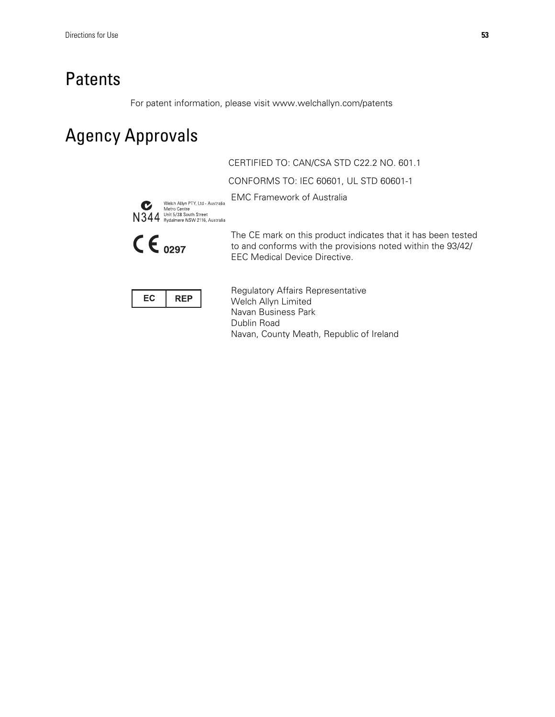### **Patents**

For patent information, please visit www.welchallyn.com/patents

### Agency Approvals

CERTIFIED TO: CAN/CSA STD C22.2 NO. 601.1

CONFORMS TO: IEC 60601, UL STD 60601-1



EMC Framework of Australia



The CE mark on this product indicates that it has been tested to and conforms with the provisions noted within the 93/42/ EEC Medical Device Directive.



Regulatory Affairs Representative Welch Allyn Limited Navan Business Park Dublin Road Navan, County Meath, Republic of Ireland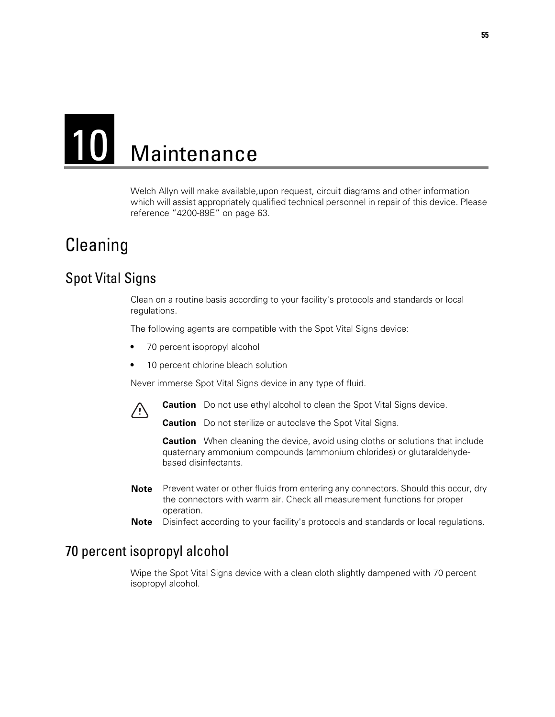# 10 Maintenance

Welch Allyn will make available,upon request, circuit diagrams and other information which will assist appropriately qualified technical personnel in repair of this device. Please reference ["4200-89E" on page 63](#page-68-0).

### **Cleaning**

### Spot Vital Signs

Clean on a routine basis according to your facility's protocols and standards or local regulations.

The following agents are compatible with the Spot Vital Signs device:

- **•** 70 percent isopropyl alcohol
- **•** 10 percent chlorine bleach solution

Never immerse Spot Vital Signs device in any type of fluid.



**Caution** Do not use ethyl alcohol to clean the Spot Vital Signs device.

**Caution** Do not sterilize or autoclave the Spot Vital Signs.

**Caution** When cleaning the device, avoid using cloths or solutions that include quaternary ammonium compounds (ammonium chlorides) or glutaraldehydebased disinfectants.

- **Note** Prevent water or other fluids from entering any connectors. Should this occur, dry the connectors with warm air. Check all measurement functions for proper operation.
- **Note** Disinfect according to your facility's protocols and standards or local regulations.

### 70 percent isopropyl alcohol

Wipe the Spot Vital Signs device with a clean cloth slightly dampened with 70 percent isopropyl alcohol.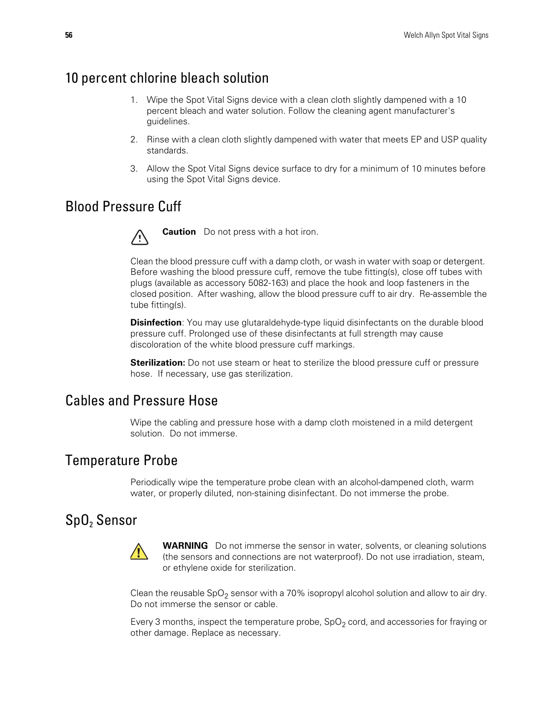#### 10 percent chlorine bleach solution

- 1. Wipe the Spot Vital Signs device with a clean cloth slightly dampened with a 10 percent bleach and water solution. Follow the cleaning agent manufacturer's guidelines.
- 2. Rinse with a clean cloth slightly dampened with water that meets EP and USP quality standards.
- 3. Allow the Spot Vital Signs device surface to dry for a minimum of 10 minutes before using the Spot Vital Signs device.

### Blood Pressure Cuff



**Caution** Do not press with a hot iron.

Clean the blood pressure cuff with a damp cloth, or wash in water with soap or detergent. Before washing the blood pressure cuff, remove the tube fitting(s), close off tubes with plugs (available as accessory 5082-163) and place the hook and loop fasteners in the closed position. After washing, allow the blood pressure cuff to air dry. Re-assemble the tube fitting(s).

**Disinfection**: You may use glutaraldehyde-type liquid disinfectants on the durable blood pressure cuff. Prolonged use of these disinfectants at full strength may cause discoloration of the white blood pressure cuff markings.

**Sterilization:** Do not use steam or heat to sterilize the blood pressure cuff or pressure hose. If necessary, use gas sterilization.

### Cables and Pressure Hose

Wipe the cabling and pressure hose with a damp cloth moistened in a mild detergent solution. Do not immerse.

#### Temperature Probe

Periodically wipe the temperature probe clean with an alcohol-dampened cloth, warm water, or properly diluted, non-staining disinfectant. Do not immerse the probe.

### SpO<sub>2</sub> Sensor



**WARNING** Do not immerse the sensor in water, solvents, or cleaning solutions (the sensors and connections are not waterproof). Do not use irradiation, steam, or ethylene oxide for sterilization.

Clean the reusable  $SpO<sub>2</sub>$  sensor with a 70% isopropyl alcohol solution and allow to air dry. Do not immerse the sensor or cable.

Every 3 months, inspect the temperature probe,  $SpO<sub>2</sub>$  cord, and accessories for fraying or other damage. Replace as necessary.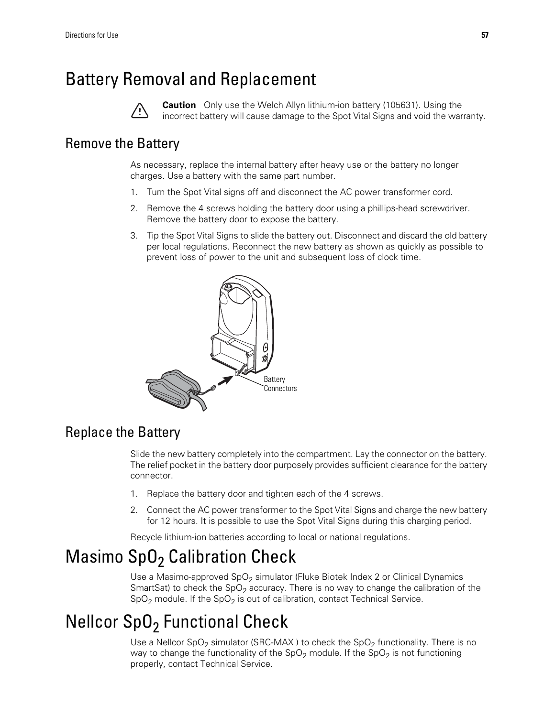### Battery Removal and Replacement



**Caution** Only use the Welch Allyn lithium-ion battery (105631). Using the incorrect battery will cause damage to the Spot Vital Signs and void the warranty.

### Remove the Battery

As necessary, replace the internal battery after heavy use or the battery no longer charges. Use a battery with the same part number.

- 1. Turn the Spot Vital signs off and disconnect the AC power transformer cord.
- 2. Remove the 4 screws holding the battery door using a phillips-head screwdriver. Remove the battery door to expose the battery.
- 3. Tip the Spot Vital Signs to slide the battery out. Disconnect and discard the old battery per local regulations. Reconnect the new battery as shown as quickly as possible to prevent loss of power to the unit and subsequent loss of clock time.



### Replace the Battery

Slide the new battery completely into the compartment. Lay the connector on the battery. The relief pocket in the battery door purposely provides sufficient clearance for the battery connector.

- 1. Replace the battery door and tighten each of the 4 screws.
- 2. Connect the AC power transformer to the Spot Vital Signs and charge the new battery for 12 hours. It is possible to use the Spot Vital Signs during this charging period.

Recycle lithium-ion batteries according to local or national regulations.

### Masimo SpO<sub>2</sub> Calibration Check

Use a Masimo-approved  $SpO<sub>2</sub>$  simulator (Fluke Biotek Index 2 or Clinical Dynamics SmartSat) to check the SpO<sub>2</sub> accuracy. There is no way to change the calibration of the  $SpO<sub>2</sub>$  module. If the  $SpO<sub>2</sub>$  is out of calibration, contact Technical Service.

### Nellcor SpO<sub>2</sub> Functional Check

Use a Nellcor SpO<sub>2</sub> simulator (SRC-MAX) to check the SpO<sub>2</sub> functionality. There is no way to change the functionality of the  $SpO<sub>2</sub>$  module. If the  $SpO<sub>2</sub>$  is not functioning properly, contact Technical Service.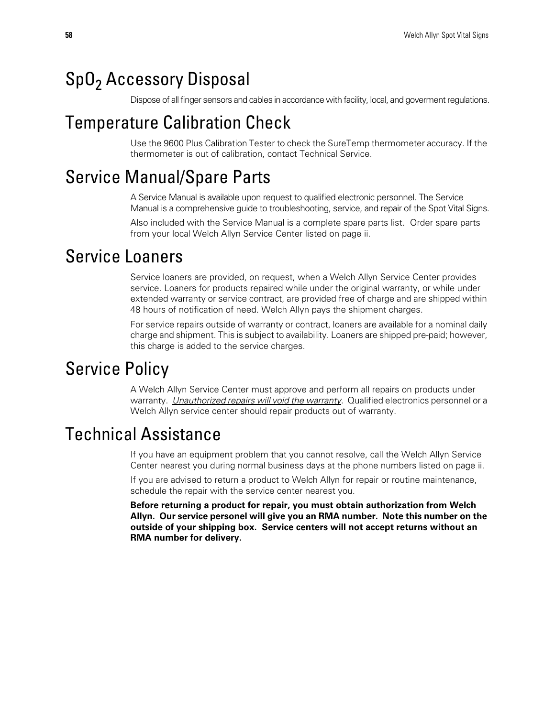### SpO<sub>2</sub> Accessory Disposal

Dispose of all finger sensors and cables in accordance with facility, local, and goverment regulations.

### Temperature Calibration Check

Use the 9600 Plus Calibration Tester to check the SureTemp thermometer accuracy. If the thermometer is out of calibration, contact Technical Service.

### Service Manual/Spare Parts

A Service Manual is available upon request to qualified electronic personnel. The Service Manual is a comprehensive guide to troubleshooting, service, and repair of the Spot Vital Signs.

Also included with the Service Manual is a complete spare parts list. Order spare parts from your local Welch Allyn Service Center listed on [page ii](#page-1-0).

### Service Loaners

Service loaners are provided, on request, when a Welch Allyn Service Center provides service. Loaners for products repaired while under the original warranty, or while under extended warranty or service contract, are provided free of charge and are shipped within 48 hours of notification of need. Welch Allyn pays the shipment charges.

For service repairs outside of warranty or contract, loaners are available for a nominal daily charge and shipment. This is subject to availability. Loaners are shipped pre-paid; however, this charge is added to the service charges.

### Service Policy

A Welch Allyn Service Center must approve and perform all repairs on products under warranty. *Unauthorized repairs will void the warranty*. Qualified electronics personnel or a Welch Allyn service center should repair products out of warranty.

### <span id="page-63-0"></span>Technical Assistance

If you have an equipment problem that you cannot resolve, call the Welch Allyn Service Center nearest you during normal business days at the phone numbers listed on [page ii.](#page-1-0)

If you are advised to return a product to Welch Allyn for repair or routine maintenance, schedule the repair with the service center nearest you.

**Before returning a product for repair, you must obtain authorization from Welch Allyn. Our service personel will give you an RMA number. Note this number on the outside of your shipping box. Service centers will not accept returns without an RMA number for delivery.**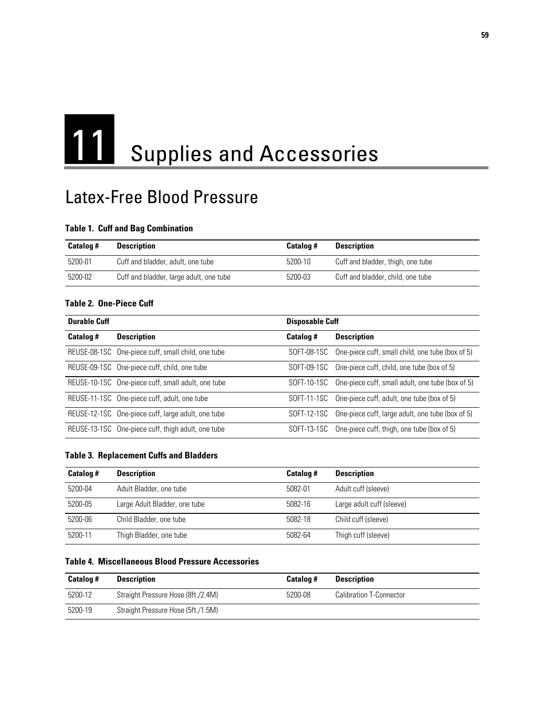# 11 Supplies and Accessories

### Latex-Free Blood Pressure

#### **Table 1. Cuff and Bag Combination**

| Catalog # | <b>Description</b>                      | Catalog # | Description                       |
|-----------|-----------------------------------------|-----------|-----------------------------------|
| 5200-01   | Cuff and bladder, adult, one tube       | 5200-10   | Cuff and bladder, thigh, one tube |
| 5200-02   | Cuff and bladder, large adult, one tube | 5200-03   | Cuff and bladder, child, one tube |

#### **Table 2. One-Piece Cuff**

| <b>Durable Cuff</b> | <b>Disposable Cuff</b>                             |             |                                                  |
|---------------------|----------------------------------------------------|-------------|--------------------------------------------------|
| Catalog #           | <b>Description</b>                                 | Catalog #   | <b>Description</b>                               |
|                     | REUSE-08-1SC One-piece cuff, small child, one tube | SOFT-08-1SC | One-piece cuff, small child, one tube (box of 5) |
|                     | REUSE-09-1SC One-piece cuff, child, one tube       | SOFT-09-1SC | One-piece cuff, child, one tube (box of 5)       |
|                     | REUSE-10-1SC One-piece cuff, small adult, one tube | SOFT-10-1SC | One-piece cuff, small adult, one tube (box of 5) |
|                     | REUSE-11-1SC One-piece cuff, adult, one tube       | SOFT-11-1SC | One-piece cuff, adult, one tube (box of 5)       |
|                     | REUSE-12-1SC One-piece cuff, large adult, one tube | SOFT-12-1SC | One-piece cuff, large adult, one tube (box of 5) |
|                     | REUSE-13-1SC One-piece cuff, thigh adult, one tube | SOFT-13-1SC | One-piece cuff, thigh, one tube (box of 5)       |

#### **Table 3. Replacement Cuffs and Bladders**

| Catalog # | <b>Description</b>            | Catalog # | <b>Description</b>        |
|-----------|-------------------------------|-----------|---------------------------|
| 5200-04   | Adult Bladder, one tube       | 5082-01   | Adult cuff (sleeve)       |
| 5200-05   | Large Adult Bladder, one tube | 5082-16   | Large adult cuff (sleeve) |
| 5200-06   | Child Bladder, one tube       | 5082-18   | Child cuff (sleeve)       |
| 5200-11   | Thigh Bladder, one tube       | 5082-64   | Thigh cuff (sleeve)       |

#### **Table 4. Miscellaneous Blood Pressure Accessories**

| Catalog # | <b>Description</b>                 | Catalog # | <b>Description</b>             |
|-----------|------------------------------------|-----------|--------------------------------|
| 5200-12   | Straight Pressure Hose (8ft./2.4M) | 5200-08   | <b>Calibration T-Connector</b> |
| 5200-19   | Straight Pressure Hose (5ft./1.5M) |           |                                |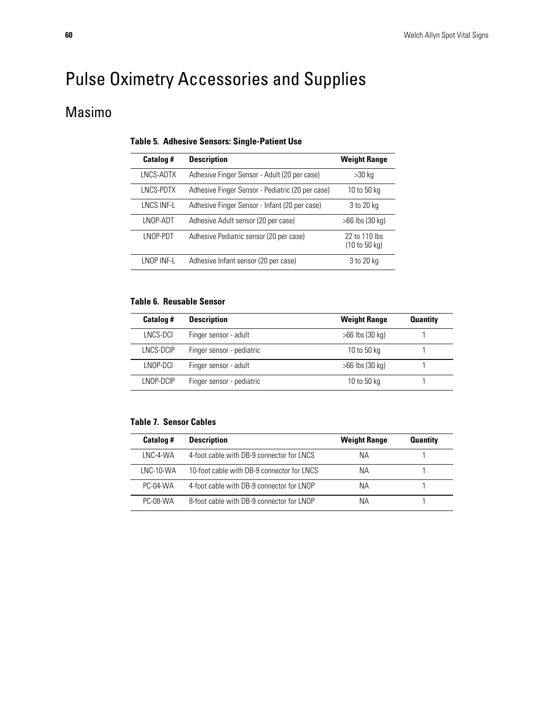### Pulse Oximetry Accessories and Supplies

### Masimo

|  |  |  |  | Table 5. Adhesive Sensors: Single-Patient Use |
|--|--|--|--|-----------------------------------------------|
|--|--|--|--|-----------------------------------------------|

| <b>Catalog#</b> | <b>Description</b>                               | <b>Weight Range</b>            |
|-----------------|--------------------------------------------------|--------------------------------|
| LNCS-ADTX       | Adhesive Finger Sensor - Adult (20 per case)     | $>30$ kg                       |
| LNCS-PDTX       | Adhesive Finger Sensor - Pediatric (20 per case) | 10 to 50 kg                    |
| I NCS INF-L     | Adhesive Finger Sensor - Infant (20 per case)    | 3 to 20 kg                     |
| LNOP-ADT        | Adhesive Adult sensor (20 per case)              | $>66$ lbs (30 kg)              |
| I NOP-PDT       | Adhesive Pediatric sensor (20 per case)          | 22 to 110 lbs<br>(10 to 50 kg) |
| LNOP INF-L      | Adhesive Infant sensor (20 per case)             | 3 to 20 kg                     |

#### **Table 6. Reusable Sensor**

| Catalog # | <b>Description</b>        | <b>Weight Range</b> | <b>Quantity</b> |
|-----------|---------------------------|---------------------|-----------------|
| LNCS-DCI  | Finger sensor - adult     | $>66$ lbs (30 kg)   |                 |
| LNCS-DCIP | Finger sensor - pediatric | 10 to 50 kg         |                 |
| LNOP-DCI  | Finger sensor - adult     | $>66$ lbs (30 kg)   |                 |
| LNOP-DCIP | Finger sensor - pediatric | 10 to 50 kg         |                 |

#### **Table 7. Sensor Cables**

| Catalog #  | <b>Description</b>                         | <b>Weight Range</b> | <b>Quantity</b> |
|------------|--------------------------------------------|---------------------|-----------------|
| I NC-4-WA  | 4-foot cable with DB-9 connector for LNCS  | NА                  |                 |
| I NC-10-WA | 10-foot cable with DB-9 connector for LNCS | ΝA                  |                 |
| $PC-04-WA$ | 4-foot cable with DB-9 connector for LNOP  | NА                  |                 |
| PC-08-WA   | 8-foot cable with DB-9 connector for LNOP  | NА                  |                 |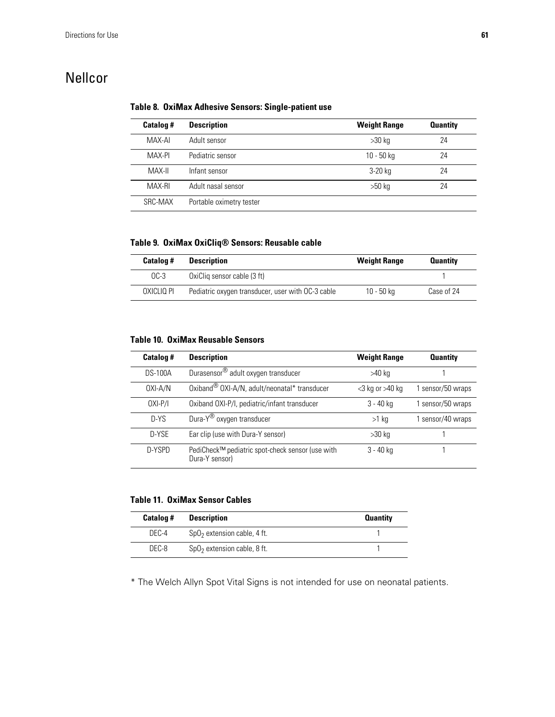### Nellcor

#### **Table 8. OxiMax Adhesive Sensors: Single-patient use**

| Catalog # | <b>Description</b>       | <b>Weight Range</b> | <b>Quantity</b> |
|-----------|--------------------------|---------------------|-----------------|
| MAX-AI    | Adult sensor             | $>30$ kg            | 24              |
| MAX-PI    | Pediatric sensor         | 10 - 50 kg          | 24              |
| MAX-II    | Infant sensor            | 3-20 kg             | 24              |
| MAX-RI    | Adult nasal sensor       | $>50$ kg            | 24              |
| SRC-MAX   | Portable oximetry tester |                     |                 |

**Table 9. OxiMax OxiCliq® Sensors: Reusable cable**

| <b>Catalog #</b> | <b>Description</b>                                | <b>Weight Range</b> | <b>Quantity</b> |
|------------------|---------------------------------------------------|---------------------|-----------------|
| $OC-3$           | OxiClig sensor cable (3 ft)                       |                     |                 |
| OXICLIO PI       | Pediatric oxygen transducer, user with OC-3 cable | 10 - 50 ka          | Case of 24      |

**Table 10. OxiMax Reusable Sensors**

| <b>Catalog#</b> | <b>Description</b>                                                 | <b>Weight Range</b>   | <b>Quantity</b>   |
|-----------------|--------------------------------------------------------------------|-----------------------|-------------------|
| <b>DS-100A</b>  | Durasensor® adult oxygen transducer                                | >40 ka                |                   |
| 0XI-A/N         | Oxiband® OXI-A/N, adult/neonatal* transducer                       | $<$ 3 kg or $>$ 40 kg | 1 sensor/50 wraps |
| $OXI-P/I$       | Oxiband OXI-P/I, pediatric/infant transducer                       | $3 - 40$ kg           | 1 sensor/50 wraps |
| $D-YS$          | Dura-Y® oxygen transducer                                          | $>1$ kg               | 1 sensor/40 wraps |
| D-YSE           | Ear clip (use with Dura-Y sensor)                                  | $>30$ kg              |                   |
| D-YSPD          | PediCheck™ pediatric spot-check sensor (use with<br>Dura-Y sensor) | $3 - 40$ kg           |                   |

**Table 11. OxiMax Sensor Cables**

| Catalog # | <b>Description</b>            | <b>Quantity</b> |
|-----------|-------------------------------|-----------------|
| DFC-4     | $SpO2$ extension cable, 4 ft. |                 |
| DFC-8     | $SpO2$ extension cable, 8 ft. |                 |

\* The Welch Allyn Spot Vital Signs is not intended for use on neonatal patients.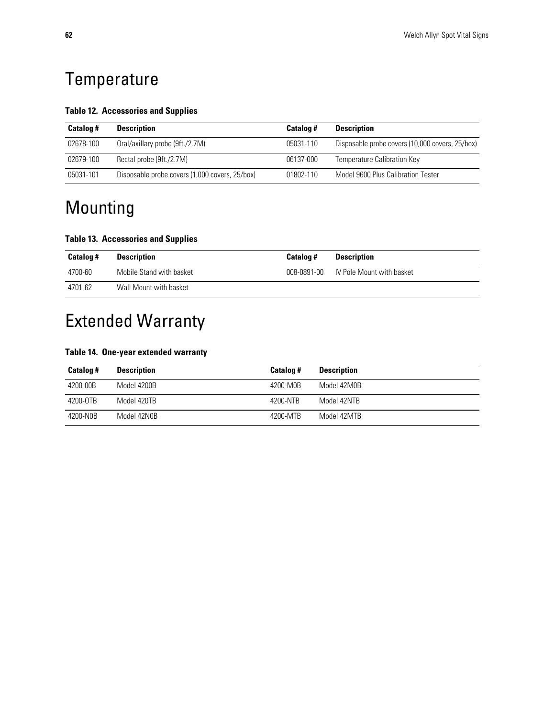### **Temperature**

#### **Table 12. Accessories and Supplies**

| Catalog # | <b>Description</b>                             | Catalog # | <b>Description</b>                              |
|-----------|------------------------------------------------|-----------|-------------------------------------------------|
| 02678-100 | Oral/axillary probe (9ft./2.7M)                | 05031-110 | Disposable probe covers (10,000 covers, 25/box) |
| 02679-100 | Rectal probe (9ft./2.7M)                       | 06137-000 | <b>Temperature Calibration Key</b>              |
| 05031-101 | Disposable probe covers (1,000 covers, 25/box) | 01802-110 | Model 9600 Plus Calibration Tester              |

### Mounting

#### **Table 13. Accessories and Supplies**

| <b>Catalog #</b> | <b>Description</b>       | Catalog #   | <b>Description</b>        |
|------------------|--------------------------|-------------|---------------------------|
| 4700-60          | Mobile Stand with basket | 008-0891-00 | IV Pole Mount with basket |
| 4701-62          | Wall Mount with basket   |             |                           |

### Extended Warranty

#### **Table 14. One-year extended warranty**

| Catalog # | <b>Description</b> | <b>Catalog #</b> | <b>Description</b> |
|-----------|--------------------|------------------|--------------------|
| 4200-00B  | Model 4200B        | 4200-M0B         | Model 42M0B        |
| 4200-0TB  | Model 420TB        | 4200-NTR         | Model 42NTB        |
| 4200-N0B  | Model 42N0B        | 4200-MTB         | Model 42MTB        |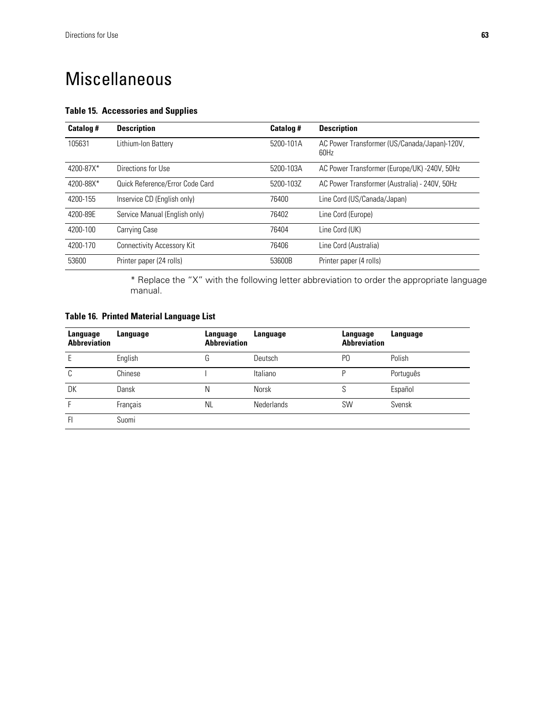### Miscellaneous

#### **Table 15. Accessories and Supplies**

<span id="page-68-0"></span>

| Catalog # | <b>Description</b>                | Catalog # | <b>Description</b>                                   |
|-----------|-----------------------------------|-----------|------------------------------------------------------|
| 105631    | Lithium-Ion Battery               | 5200-101A | AC Power Transformer (US/Canada/Japan)-120V,<br>60Hz |
| 4200-87X* | Directions for Use                | 5200-103A | AC Power Transformer (Europe/UK) -240V, 50Hz         |
| 4200-88X* | Quick Reference/Error Code Card   | 5200-103Z | AC Power Transformer (Australia) - 240V, 50Hz        |
| 4200-155  | Inservice CD (English only)       | 76400     | Line Cord (US/Canada/Japan)                          |
| 4200-89E  | Service Manual (English only)     | 76402     | Line Cord (Europe)                                   |
| 4200-100  | Carrying Case                     | 76404     | Line Cord (UK)                                       |
| 4200-170  | <b>Connectivity Accessory Kit</b> | 76406     | Line Cord (Australia)                                |
| 53600     | Printer paper (24 rolls)          | 53600B    | Printer paper (4 rolls)                              |

\* Replace the "X" with the following letter abbreviation to order the appropriate language manual.

#### **Table 16. Printed Material Language List**

| Language<br><b>Abbreviation</b> | Language | Language<br><b>Abbreviation</b> | Language          | Language<br><b>Abbreviation</b> | Language  |
|---------------------------------|----------|---------------------------------|-------------------|---------------------------------|-----------|
|                                 | English  | G                               | Deutsch           | P <sub>0</sub>                  | Polish    |
| C                               | Chinese  |                                 | Italiano          |                                 | Português |
| DK                              | Dansk    | N                               | <b>Norsk</b>      | S                               | Español   |
|                                 | Francais | <b>NL</b>                       | <b>Nederlands</b> | <b>SW</b>                       | Svensk    |
| FI                              | Suomi    |                                 |                   |                                 |           |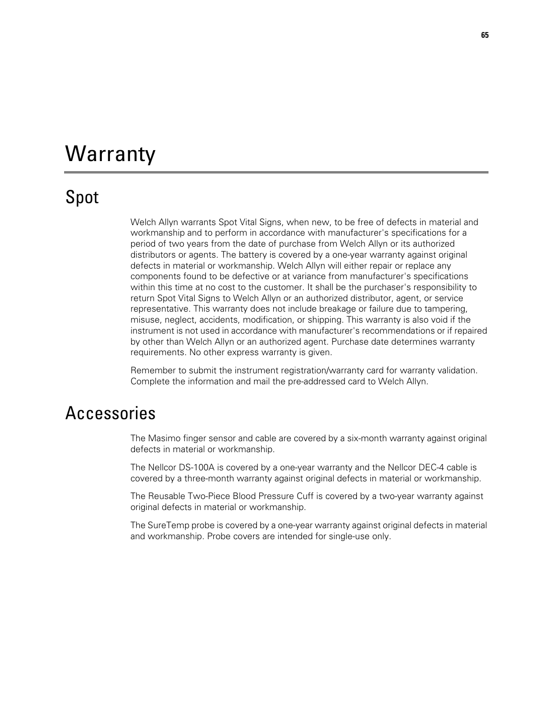### **Warranty**

### Spot

Welch Allyn warrants Spot Vital Signs, when new, to be free of defects in material and workmanship and to perform in accordance with manufacturer's specifications for a period of two years from the date of purchase from Welch Allyn or its authorized distributors or agents. The battery is covered by a one-year warranty against original defects in material or workmanship. Welch Allyn will either repair or replace any components found to be defective or at variance from manufacturer's specifications within this time at no cost to the customer. It shall be the purchaser's responsibility to return Spot Vital Signs to Welch Allyn or an authorized distributor, agent, or service representative. This warranty does not include breakage or failure due to tampering, misuse, neglect, accidents, modification, or shipping. This warranty is also void if the instrument is not used in accordance with manufacturer's recommendations or if repaired by other than Welch Allyn or an authorized agent. Purchase date determines warranty requirements. No other express warranty is given.

Remember to submit the instrument registration/warranty card for warranty validation. Complete the information and mail the pre-addressed card to Welch Allyn.

### Accessories

The Masimo finger sensor and cable are covered by a six-month warranty against original defects in material or workmanship.

The Nellcor DS-100A is covered by a one-year warranty and the Nellcor DEC-4 cable is covered by a three-month warranty against original defects in material or workmanship.

The Reusable Two-Piece Blood Pressure Cuff is covered by a two-year warranty against original defects in material or workmanship.

The SureTemp probe is covered by a one-year warranty against original defects in material and workmanship. Probe covers are intended for single-use only.